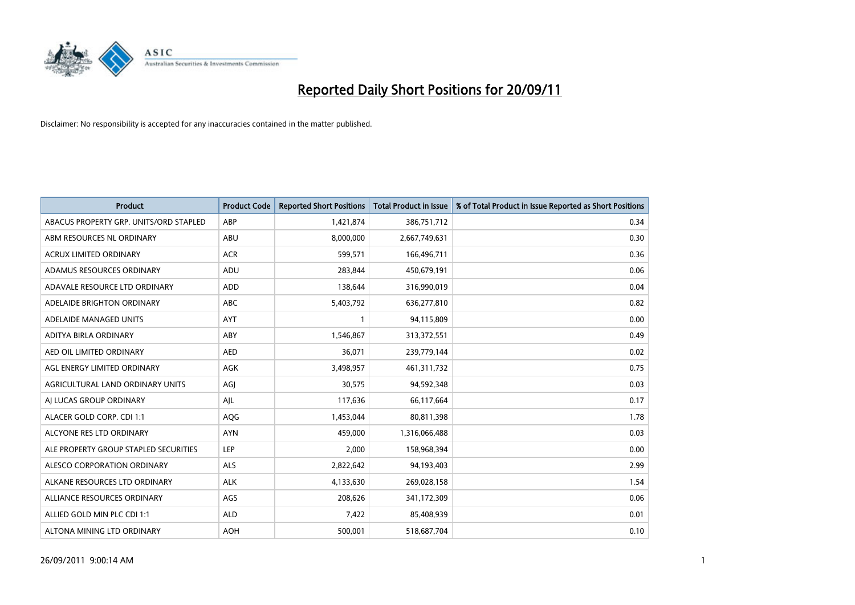

| <b>Product</b>                         | <b>Product Code</b> | <b>Reported Short Positions</b> | <b>Total Product in Issue</b> | % of Total Product in Issue Reported as Short Positions |
|----------------------------------------|---------------------|---------------------------------|-------------------------------|---------------------------------------------------------|
| ABACUS PROPERTY GRP. UNITS/ORD STAPLED | ABP                 | 1,421,874                       | 386,751,712                   | 0.34                                                    |
| ABM RESOURCES NL ORDINARY              | ABU                 | 8,000,000                       | 2,667,749,631                 | 0.30                                                    |
| <b>ACRUX LIMITED ORDINARY</b>          | <b>ACR</b>          | 599,571                         | 166,496,711                   | 0.36                                                    |
| ADAMUS RESOURCES ORDINARY              | ADU                 | 283,844                         | 450,679,191                   | 0.06                                                    |
| ADAVALE RESOURCE LTD ORDINARY          | <b>ADD</b>          | 138,644                         | 316,990,019                   | 0.04                                                    |
| ADELAIDE BRIGHTON ORDINARY             | <b>ABC</b>          | 5,403,792                       | 636,277,810                   | 0.82                                                    |
| ADELAIDE MANAGED UNITS                 | <b>AYT</b>          |                                 | 94,115,809                    | 0.00                                                    |
| ADITYA BIRLA ORDINARY                  | ABY                 | 1,546,867                       | 313,372,551                   | 0.49                                                    |
| AED OIL LIMITED ORDINARY               | <b>AED</b>          | 36,071                          | 239,779,144                   | 0.02                                                    |
| AGL ENERGY LIMITED ORDINARY            | AGK                 | 3,498,957                       | 461,311,732                   | 0.75                                                    |
| AGRICULTURAL LAND ORDINARY UNITS       | AGJ                 | 30,575                          | 94,592,348                    | 0.03                                                    |
| AI LUCAS GROUP ORDINARY                | AJL                 | 117,636                         | 66,117,664                    | 0.17                                                    |
| ALACER GOLD CORP. CDI 1:1              | AQG                 | 1,453,044                       | 80,811,398                    | 1.78                                                    |
| ALCYONE RES LTD ORDINARY               | <b>AYN</b>          | 459.000                         | 1,316,066,488                 | 0.03                                                    |
| ALE PROPERTY GROUP STAPLED SECURITIES  | LEP                 | 2,000                           | 158,968,394                   | 0.00                                                    |
| ALESCO CORPORATION ORDINARY            | <b>ALS</b>          | 2,822,642                       | 94,193,403                    | 2.99                                                    |
| ALKANE RESOURCES LTD ORDINARY          | <b>ALK</b>          | 4,133,630                       | 269,028,158                   | 1.54                                                    |
| ALLIANCE RESOURCES ORDINARY            | AGS                 | 208,626                         | 341,172,309                   | 0.06                                                    |
| ALLIED GOLD MIN PLC CDI 1:1            | <b>ALD</b>          | 7,422                           | 85,408,939                    | 0.01                                                    |
| ALTONA MINING LTD ORDINARY             | <b>AOH</b>          | 500,001                         | 518,687,704                   | 0.10                                                    |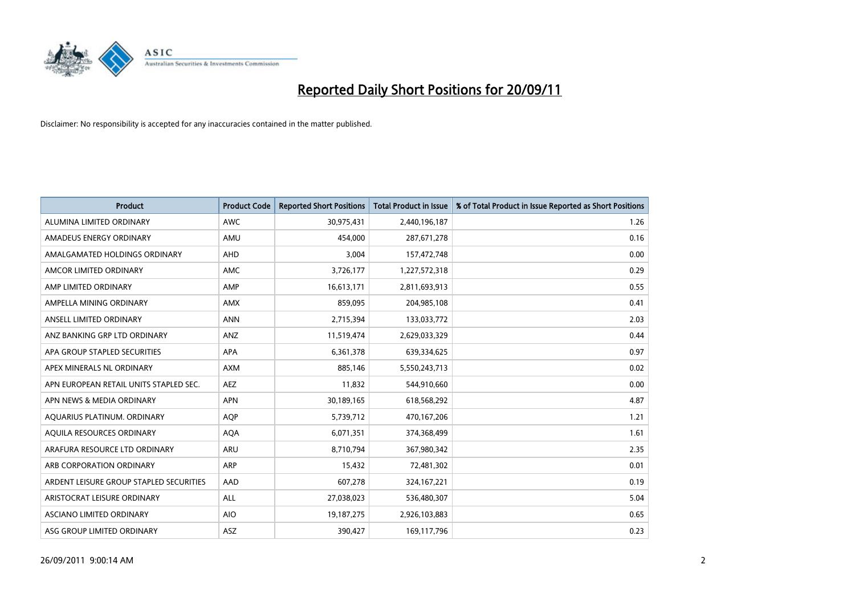

| <b>Product</b>                          | <b>Product Code</b> | <b>Reported Short Positions</b> | <b>Total Product in Issue</b> | % of Total Product in Issue Reported as Short Positions |
|-----------------------------------------|---------------------|---------------------------------|-------------------------------|---------------------------------------------------------|
| ALUMINA LIMITED ORDINARY                | <b>AWC</b>          | 30,975,431                      | 2,440,196,187                 | 1.26                                                    |
| AMADEUS ENERGY ORDINARY                 | AMU                 | 454.000                         | 287,671,278                   | 0.16                                                    |
| AMALGAMATED HOLDINGS ORDINARY           | <b>AHD</b>          | 3,004                           | 157,472,748                   | 0.00                                                    |
| AMCOR LIMITED ORDINARY                  | AMC                 | 3,726,177                       | 1,227,572,318                 | 0.29                                                    |
| AMP LIMITED ORDINARY                    | AMP                 | 16,613,171                      | 2,811,693,913                 | 0.55                                                    |
| AMPELLA MINING ORDINARY                 | <b>AMX</b>          | 859,095                         | 204,985,108                   | 0.41                                                    |
| ANSELL LIMITED ORDINARY                 | <b>ANN</b>          | 2,715,394                       | 133,033,772                   | 2.03                                                    |
| ANZ BANKING GRP LTD ORDINARY            | ANZ                 | 11,519,474                      | 2,629,033,329                 | 0.44                                                    |
| APA GROUP STAPLED SECURITIES            | <b>APA</b>          | 6,361,378                       | 639,334,625                   | 0.97                                                    |
| APEX MINERALS NL ORDINARY               | <b>AXM</b>          | 885.146                         | 5,550,243,713                 | 0.02                                                    |
| APN EUROPEAN RETAIL UNITS STAPLED SEC.  | <b>AEZ</b>          | 11,832                          | 544,910,660                   | 0.00                                                    |
| APN NEWS & MEDIA ORDINARY               | <b>APN</b>          | 30,189,165                      | 618,568,292                   | 4.87                                                    |
| AQUARIUS PLATINUM. ORDINARY             | <b>AOP</b>          | 5,739,712                       | 470,167,206                   | 1.21                                                    |
| AQUILA RESOURCES ORDINARY               | <b>AQA</b>          | 6,071,351                       | 374,368,499                   | 1.61                                                    |
| ARAFURA RESOURCE LTD ORDINARY           | ARU                 | 8,710,794                       | 367,980,342                   | 2.35                                                    |
| ARB CORPORATION ORDINARY                | <b>ARP</b>          | 15,432                          | 72,481,302                    | 0.01                                                    |
| ARDENT LEISURE GROUP STAPLED SECURITIES | AAD                 | 607,278                         | 324, 167, 221                 | 0.19                                                    |
| ARISTOCRAT LEISURE ORDINARY             | <b>ALL</b>          | 27,038,023                      | 536,480,307                   | 5.04                                                    |
| <b>ASCIANO LIMITED ORDINARY</b>         | <b>AIO</b>          | 19, 187, 275                    | 2,926,103,883                 | 0.65                                                    |
| ASG GROUP LIMITED ORDINARY              | <b>ASZ</b>          | 390.427                         | 169,117,796                   | 0.23                                                    |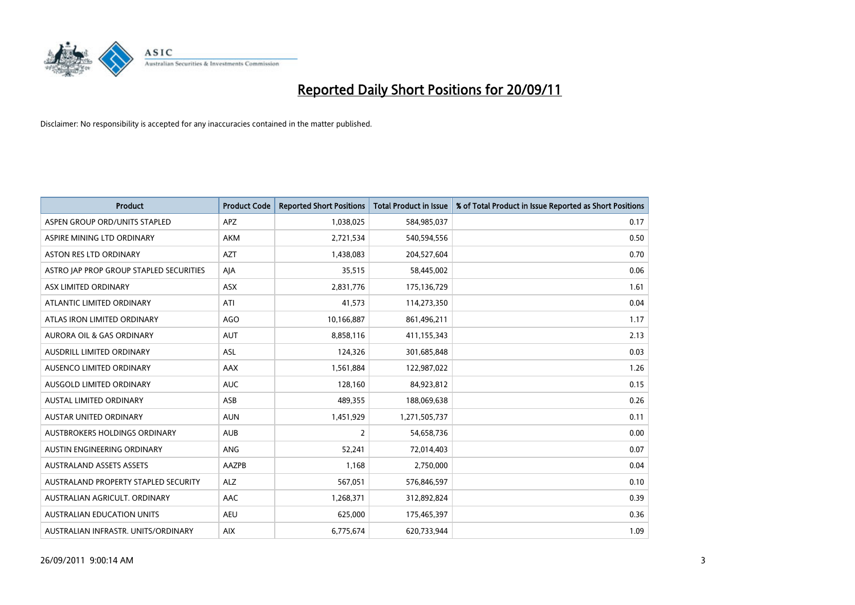

| <b>Product</b>                          | <b>Product Code</b> | <b>Reported Short Positions</b> | <b>Total Product in Issue</b> | % of Total Product in Issue Reported as Short Positions |
|-----------------------------------------|---------------------|---------------------------------|-------------------------------|---------------------------------------------------------|
| ASPEN GROUP ORD/UNITS STAPLED           | <b>APZ</b>          | 1,038,025                       | 584,985,037                   | 0.17                                                    |
| ASPIRE MINING LTD ORDINARY              | <b>AKM</b>          | 2,721,534                       | 540,594,556                   | 0.50                                                    |
| <b>ASTON RES LTD ORDINARY</b>           | <b>AZT</b>          | 1,438,083                       | 204,527,604                   | 0.70                                                    |
| ASTRO JAP PROP GROUP STAPLED SECURITIES | AIA                 | 35,515                          | 58,445,002                    | 0.06                                                    |
| ASX LIMITED ORDINARY                    | <b>ASX</b>          | 2,831,776                       | 175,136,729                   | 1.61                                                    |
| ATLANTIC LIMITED ORDINARY               | ATI                 | 41,573                          | 114,273,350                   | 0.04                                                    |
| ATLAS IRON LIMITED ORDINARY             | <b>AGO</b>          | 10,166,887                      | 861,496,211                   | 1.17                                                    |
| <b>AURORA OIL &amp; GAS ORDINARY</b>    | <b>AUT</b>          | 8,858,116                       | 411,155,343                   | 2.13                                                    |
| AUSDRILL LIMITED ORDINARY               | ASL                 | 124,326                         | 301,685,848                   | 0.03                                                    |
| AUSENCO LIMITED ORDINARY                | AAX                 | 1,561,884                       | 122,987,022                   | 1.26                                                    |
| AUSGOLD LIMITED ORDINARY                | <b>AUC</b>          | 128,160                         | 84,923,812                    | 0.15                                                    |
| <b>AUSTAL LIMITED ORDINARY</b>          | ASB                 | 489,355                         | 188,069,638                   | 0.26                                                    |
| AUSTAR UNITED ORDINARY                  | <b>AUN</b>          | 1,451,929                       | 1,271,505,737                 | 0.11                                                    |
| <b>AUSTBROKERS HOLDINGS ORDINARY</b>    | <b>AUB</b>          | 2                               | 54,658,736                    | 0.00                                                    |
| AUSTIN ENGINEERING ORDINARY             | ANG                 | 52,241                          | 72,014,403                    | 0.07                                                    |
| <b>AUSTRALAND ASSETS ASSETS</b>         | AAZPB               | 1,168                           | 2,750,000                     | 0.04                                                    |
| AUSTRALAND PROPERTY STAPLED SECURITY    | <b>ALZ</b>          | 567,051                         | 576,846,597                   | 0.10                                                    |
| AUSTRALIAN AGRICULT. ORDINARY           | AAC                 | 1,268,371                       | 312,892,824                   | 0.39                                                    |
| <b>AUSTRALIAN EDUCATION UNITS</b>       | <b>AEU</b>          | 625,000                         | 175,465,397                   | 0.36                                                    |
| AUSTRALIAN INFRASTR. UNITS/ORDINARY     | <b>AIX</b>          | 6,775,674                       | 620,733,944                   | 1.09                                                    |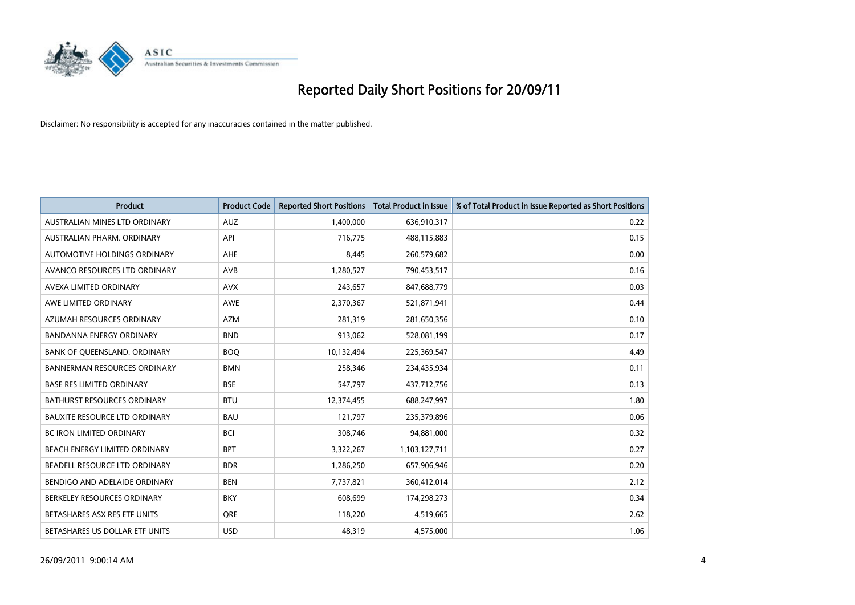

| <b>Product</b>                       | <b>Product Code</b> | <b>Reported Short Positions</b> | <b>Total Product in Issue</b> | % of Total Product in Issue Reported as Short Positions |
|--------------------------------------|---------------------|---------------------------------|-------------------------------|---------------------------------------------------------|
| AUSTRALIAN MINES LTD ORDINARY        | <b>AUZ</b>          | 1,400,000                       | 636,910,317                   | 0.22                                                    |
| AUSTRALIAN PHARM. ORDINARY           | API                 | 716,775                         | 488,115,883                   | 0.15                                                    |
| AUTOMOTIVE HOLDINGS ORDINARY         | <b>AHE</b>          | 8,445                           | 260,579,682                   | 0.00                                                    |
| AVANCO RESOURCES LTD ORDINARY        | AVB                 | 1,280,527                       | 790,453,517                   | 0.16                                                    |
| AVEXA LIMITED ORDINARY               | <b>AVX</b>          | 243,657                         | 847,688,779                   | 0.03                                                    |
| AWE LIMITED ORDINARY                 | <b>AWE</b>          | 2,370,367                       | 521,871,941                   | 0.44                                                    |
| AZUMAH RESOURCES ORDINARY            | <b>AZM</b>          | 281.319                         | 281,650,356                   | 0.10                                                    |
| <b>BANDANNA ENERGY ORDINARY</b>      | <b>BND</b>          | 913,062                         | 528,081,199                   | 0.17                                                    |
| BANK OF QUEENSLAND. ORDINARY         | <b>BOQ</b>          | 10,132,494                      | 225,369,547                   | 4.49                                                    |
| <b>BANNERMAN RESOURCES ORDINARY</b>  | <b>BMN</b>          | 258,346                         | 234,435,934                   | 0.11                                                    |
| <b>BASE RES LIMITED ORDINARY</b>     | <b>BSE</b>          | 547,797                         | 437,712,756                   | 0.13                                                    |
| <b>BATHURST RESOURCES ORDINARY</b>   | <b>BTU</b>          | 12,374,455                      | 688,247,997                   | 1.80                                                    |
| <b>BAUXITE RESOURCE LTD ORDINARY</b> | <b>BAU</b>          | 121,797                         | 235,379,896                   | 0.06                                                    |
| <b>BC IRON LIMITED ORDINARY</b>      | <b>BCI</b>          | 308,746                         | 94,881,000                    | 0.32                                                    |
| BEACH ENERGY LIMITED ORDINARY        | <b>BPT</b>          | 3,322,267                       | 1,103,127,711                 | 0.27                                                    |
| BEADELL RESOURCE LTD ORDINARY        | <b>BDR</b>          | 1,286,250                       | 657,906,946                   | 0.20                                                    |
| BENDIGO AND ADELAIDE ORDINARY        | <b>BEN</b>          | 7,737,821                       | 360,412,014                   | 2.12                                                    |
| BERKELEY RESOURCES ORDINARY          | <b>BKY</b>          | 608,699                         | 174,298,273                   | 0.34                                                    |
| BETASHARES ASX RES ETF UNITS         | <b>ORE</b>          | 118,220                         | 4,519,665                     | 2.62                                                    |
| BETASHARES US DOLLAR ETF UNITS       | <b>USD</b>          | 48,319                          | 4,575,000                     | 1.06                                                    |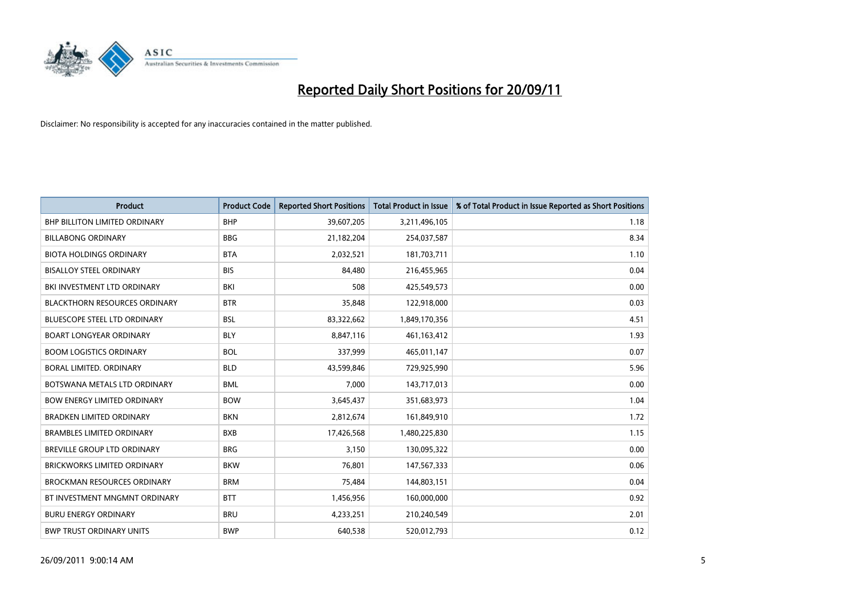

| <b>Product</b>                       | <b>Product Code</b> | <b>Reported Short Positions</b> | <b>Total Product in Issue</b> | % of Total Product in Issue Reported as Short Positions |
|--------------------------------------|---------------------|---------------------------------|-------------------------------|---------------------------------------------------------|
| <b>BHP BILLITON LIMITED ORDINARY</b> | <b>BHP</b>          | 39,607,205                      | 3,211,496,105                 | 1.18                                                    |
| <b>BILLABONG ORDINARY</b>            | <b>BBG</b>          | 21,182,204                      | 254,037,587                   | 8.34                                                    |
| <b>BIOTA HOLDINGS ORDINARY</b>       | <b>BTA</b>          | 2,032,521                       | 181,703,711                   | 1.10                                                    |
| <b>BISALLOY STEEL ORDINARY</b>       | <b>BIS</b>          | 84,480                          | 216,455,965                   | 0.04                                                    |
| BKI INVESTMENT LTD ORDINARY          | <b>BKI</b>          | 508                             | 425,549,573                   | 0.00                                                    |
| <b>BLACKTHORN RESOURCES ORDINARY</b> | <b>BTR</b>          | 35,848                          | 122,918,000                   | 0.03                                                    |
| <b>BLUESCOPE STEEL LTD ORDINARY</b>  | <b>BSL</b>          | 83,322,662                      | 1,849,170,356                 | 4.51                                                    |
| <b>BOART LONGYEAR ORDINARY</b>       | <b>BLY</b>          | 8,847,116                       | 461,163,412                   | 1.93                                                    |
| <b>BOOM LOGISTICS ORDINARY</b>       | <b>BOL</b>          | 337,999                         | 465,011,147                   | 0.07                                                    |
| BORAL LIMITED, ORDINARY              | <b>BLD</b>          | 43,599,846                      | 729,925,990                   | 5.96                                                    |
| BOTSWANA METALS LTD ORDINARY         | <b>BML</b>          | 7,000                           | 143,717,013                   | 0.00                                                    |
| <b>BOW ENERGY LIMITED ORDINARY</b>   | <b>BOW</b>          | 3,645,437                       | 351,683,973                   | 1.04                                                    |
| <b>BRADKEN LIMITED ORDINARY</b>      | <b>BKN</b>          | 2,812,674                       | 161,849,910                   | 1.72                                                    |
| <b>BRAMBLES LIMITED ORDINARY</b>     | <b>BXB</b>          | 17,426,568                      | 1,480,225,830                 | 1.15                                                    |
| <b>BREVILLE GROUP LTD ORDINARY</b>   | <b>BRG</b>          | 3,150                           | 130,095,322                   | 0.00                                                    |
| <b>BRICKWORKS LIMITED ORDINARY</b>   | <b>BKW</b>          | 76,801                          | 147,567,333                   | 0.06                                                    |
| <b>BROCKMAN RESOURCES ORDINARY</b>   | <b>BRM</b>          | 75,484                          | 144,803,151                   | 0.04                                                    |
| BT INVESTMENT MNGMNT ORDINARY        | <b>BTT</b>          | 1,456,956                       | 160,000,000                   | 0.92                                                    |
| <b>BURU ENERGY ORDINARY</b>          | <b>BRU</b>          | 4,233,251                       | 210,240,549                   | 2.01                                                    |
| <b>BWP TRUST ORDINARY UNITS</b>      | <b>BWP</b>          | 640.538                         | 520,012,793                   | 0.12                                                    |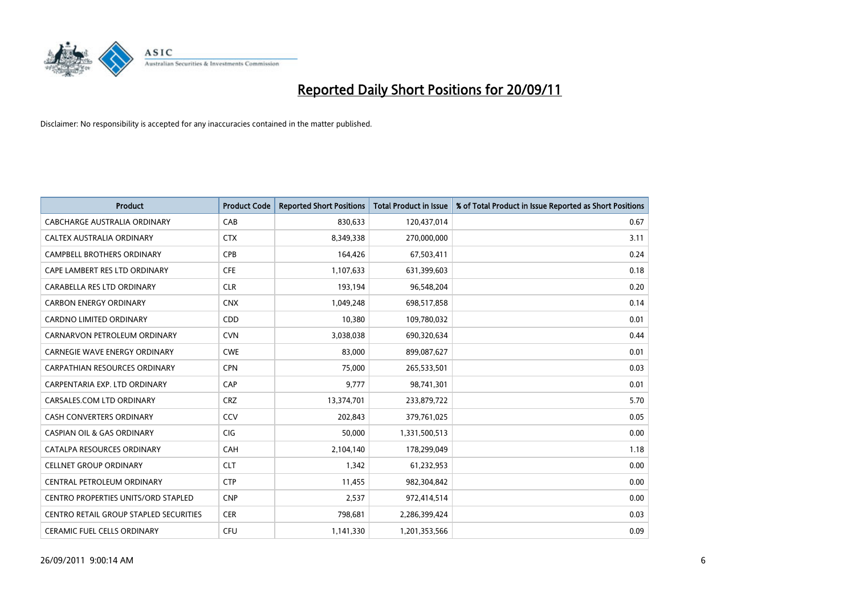

| <b>Product</b>                             | <b>Product Code</b> | <b>Reported Short Positions</b> | <b>Total Product in Issue</b> | % of Total Product in Issue Reported as Short Positions |
|--------------------------------------------|---------------------|---------------------------------|-------------------------------|---------------------------------------------------------|
| CABCHARGE AUSTRALIA ORDINARY               | CAB                 | 830,633                         | 120,437,014                   | 0.67                                                    |
| CALTEX AUSTRALIA ORDINARY                  | <b>CTX</b>          | 8,349,338                       | 270,000,000                   | 3.11                                                    |
| <b>CAMPBELL BROTHERS ORDINARY</b>          | CPB                 | 164,426                         | 67,503,411                    | 0.24                                                    |
| CAPE LAMBERT RES LTD ORDINARY              | <b>CFE</b>          | 1,107,633                       | 631,399,603                   | 0.18                                                    |
| CARABELLA RES LTD ORDINARY                 | <b>CLR</b>          | 193,194                         | 96,548,204                    | 0.20                                                    |
| <b>CARBON ENERGY ORDINARY</b>              | <b>CNX</b>          | 1,049,248                       | 698,517,858                   | 0.14                                                    |
| <b>CARDNO LIMITED ORDINARY</b>             | CDD                 | 10,380                          | 109,780,032                   | 0.01                                                    |
| CARNARVON PETROLEUM ORDINARY               | <b>CVN</b>          | 3,038,038                       | 690,320,634                   | 0.44                                                    |
| CARNEGIE WAVE ENERGY ORDINARY              | <b>CWE</b>          | 83,000                          | 899,087,627                   | 0.01                                                    |
| CARPATHIAN RESOURCES ORDINARY              | <b>CPN</b>          | 75,000                          | 265,533,501                   | 0.03                                                    |
| CARPENTARIA EXP. LTD ORDINARY              | CAP                 | 9,777                           | 98,741,301                    | 0.01                                                    |
| CARSALES.COM LTD ORDINARY                  | <b>CRZ</b>          | 13,374,701                      | 233,879,722                   | 5.70                                                    |
| CASH CONVERTERS ORDINARY                   | CCV                 | 202,843                         | 379,761,025                   | 0.05                                                    |
| <b>CASPIAN OIL &amp; GAS ORDINARY</b>      | <b>CIG</b>          | 50,000                          | 1,331,500,513                 | 0.00                                                    |
| CATALPA RESOURCES ORDINARY                 | CAH                 | 2,104,140                       | 178,299,049                   | 1.18                                                    |
| <b>CELLNET GROUP ORDINARY</b>              | <b>CLT</b>          | 1,342                           | 61,232,953                    | 0.00                                                    |
| CENTRAL PETROLEUM ORDINARY                 | <b>CTP</b>          | 11,455                          | 982,304,842                   | 0.00                                                    |
| <b>CENTRO PROPERTIES UNITS/ORD STAPLED</b> | <b>CNP</b>          | 2,537                           | 972,414,514                   | 0.00                                                    |
| CENTRO RETAIL GROUP STAPLED SECURITIES     | <b>CER</b>          | 798,681                         | 2,286,399,424                 | 0.03                                                    |
| <b>CERAMIC FUEL CELLS ORDINARY</b>         | <b>CFU</b>          | 1,141,330                       | 1,201,353,566                 | 0.09                                                    |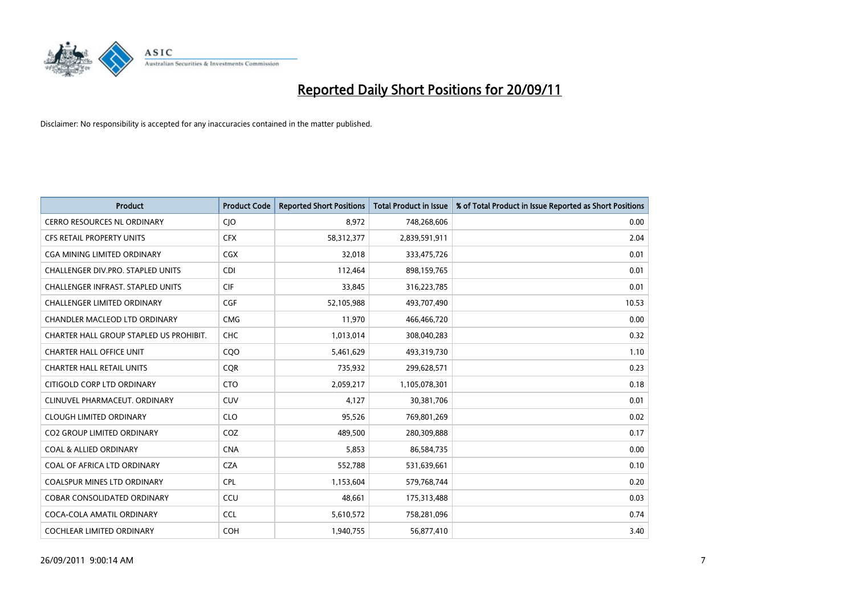

| <b>Product</b>                           | <b>Product Code</b> | <b>Reported Short Positions</b> | <b>Total Product in Issue</b> | % of Total Product in Issue Reported as Short Positions |
|------------------------------------------|---------------------|---------------------------------|-------------------------------|---------------------------------------------------------|
| <b>CERRO RESOURCES NL ORDINARY</b>       | <b>CIO</b>          | 8,972                           | 748,268,606                   | 0.00                                                    |
| CFS RETAIL PROPERTY UNITS                | <b>CFX</b>          | 58,312,377                      | 2,839,591,911                 | 2.04                                                    |
| <b>CGA MINING LIMITED ORDINARY</b>       | <b>CGX</b>          | 32,018                          | 333,475,726                   | 0.01                                                    |
| CHALLENGER DIV.PRO. STAPLED UNITS        | <b>CDI</b>          | 112,464                         | 898,159,765                   | 0.01                                                    |
| <b>CHALLENGER INFRAST, STAPLED UNITS</b> | <b>CIF</b>          | 33,845                          | 316,223,785                   | 0.01                                                    |
| <b>CHALLENGER LIMITED ORDINARY</b>       | <b>CGF</b>          | 52,105,988                      | 493,707,490                   | 10.53                                                   |
| <b>CHANDLER MACLEOD LTD ORDINARY</b>     | <b>CMG</b>          | 11,970                          | 466,466,720                   | 0.00                                                    |
| CHARTER HALL GROUP STAPLED US PROHIBIT.  | <b>CHC</b>          | 1,013,014                       | 308,040,283                   | 0.32                                                    |
| <b>CHARTER HALL OFFICE UNIT</b>          | COO                 | 5,461,629                       | 493,319,730                   | 1.10                                                    |
| <b>CHARTER HALL RETAIL UNITS</b>         | <b>COR</b>          | 735,932                         | 299,628,571                   | 0.23                                                    |
| CITIGOLD CORP LTD ORDINARY               | <b>CTO</b>          | 2,059,217                       | 1,105,078,301                 | 0.18                                                    |
| CLINUVEL PHARMACEUT, ORDINARY            | <b>CUV</b>          | 4,127                           | 30,381,706                    | 0.01                                                    |
| <b>CLOUGH LIMITED ORDINARY</b>           | <b>CLO</b>          | 95,526                          | 769,801,269                   | 0.02                                                    |
| <b>CO2 GROUP LIMITED ORDINARY</b>        | COZ                 | 489,500                         | 280,309,888                   | 0.17                                                    |
| <b>COAL &amp; ALLIED ORDINARY</b>        | <b>CNA</b>          | 5,853                           | 86,584,735                    | 0.00                                                    |
| COAL OF AFRICA LTD ORDINARY              | <b>CZA</b>          | 552,788                         | 531,639,661                   | 0.10                                                    |
| COALSPUR MINES LTD ORDINARY              | <b>CPL</b>          | 1,153,604                       | 579,768,744                   | 0.20                                                    |
| COBAR CONSOLIDATED ORDINARY              | CCU                 | 48,661                          | 175,313,488                   | 0.03                                                    |
| COCA-COLA AMATIL ORDINARY                | <b>CCL</b>          | 5,610,572                       | 758,281,096                   | 0.74                                                    |
| COCHLEAR LIMITED ORDINARY                | <b>COH</b>          | 1,940,755                       | 56,877,410                    | 3.40                                                    |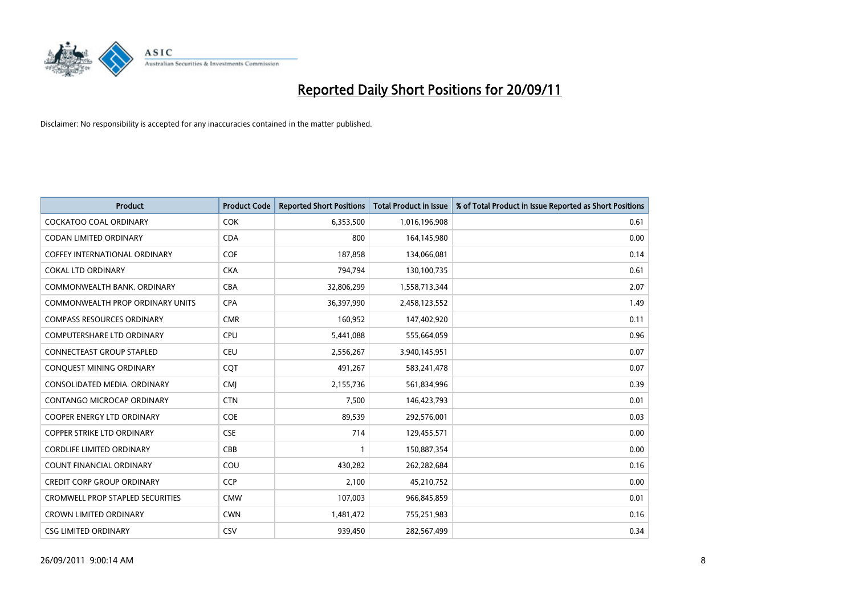

| <b>Product</b>                          | <b>Product Code</b> | <b>Reported Short Positions</b> | <b>Total Product in Issue</b> | % of Total Product in Issue Reported as Short Positions |
|-----------------------------------------|---------------------|---------------------------------|-------------------------------|---------------------------------------------------------|
| <b>COCKATOO COAL ORDINARY</b>           | <b>COK</b>          | 6,353,500                       | 1,016,196,908                 | 0.61                                                    |
| CODAN LIMITED ORDINARY                  | <b>CDA</b>          | 800                             | 164,145,980                   | 0.00                                                    |
| <b>COFFEY INTERNATIONAL ORDINARY</b>    | <b>COF</b>          | 187,858                         | 134,066,081                   | 0.14                                                    |
| <b>COKAL LTD ORDINARY</b>               | <b>CKA</b>          | 794,794                         | 130,100,735                   | 0.61                                                    |
| COMMONWEALTH BANK, ORDINARY             | <b>CBA</b>          | 32,806,299                      | 1,558,713,344                 | 2.07                                                    |
| <b>COMMONWEALTH PROP ORDINARY UNITS</b> | <b>CPA</b>          | 36,397,990                      | 2,458,123,552                 | 1.49                                                    |
| <b>COMPASS RESOURCES ORDINARY</b>       | <b>CMR</b>          | 160,952                         | 147,402,920                   | 0.11                                                    |
| COMPUTERSHARE LTD ORDINARY              | <b>CPU</b>          | 5,441,088                       | 555,664,059                   | 0.96                                                    |
| <b>CONNECTEAST GROUP STAPLED</b>        | <b>CEU</b>          | 2,556,267                       | 3,940,145,951                 | 0.07                                                    |
| CONQUEST MINING ORDINARY                | COT                 | 491,267                         | 583,241,478                   | 0.07                                                    |
| CONSOLIDATED MEDIA. ORDINARY            | <b>CMI</b>          | 2,155,736                       | 561,834,996                   | 0.39                                                    |
| <b>CONTANGO MICROCAP ORDINARY</b>       | <b>CTN</b>          | 7,500                           | 146,423,793                   | 0.01                                                    |
| COOPER ENERGY LTD ORDINARY              | <b>COE</b>          | 89,539                          | 292,576,001                   | 0.03                                                    |
| <b>COPPER STRIKE LTD ORDINARY</b>       | <b>CSE</b>          | 714                             | 129,455,571                   | 0.00                                                    |
| <b>CORDLIFE LIMITED ORDINARY</b>        | CBB                 |                                 | 150,887,354                   | 0.00                                                    |
| COUNT FINANCIAL ORDINARY                | COU                 | 430,282                         | 262,282,684                   | 0.16                                                    |
| <b>CREDIT CORP GROUP ORDINARY</b>       | <b>CCP</b>          | 2,100                           | 45,210,752                    | 0.00                                                    |
| <b>CROMWELL PROP STAPLED SECURITIES</b> | <b>CMW</b>          | 107,003                         | 966,845,859                   | 0.01                                                    |
| <b>CROWN LIMITED ORDINARY</b>           | <b>CWN</b>          | 1,481,472                       | 755,251,983                   | 0.16                                                    |
| <b>CSG LIMITED ORDINARY</b>             | CSV                 | 939,450                         | 282,567,499                   | 0.34                                                    |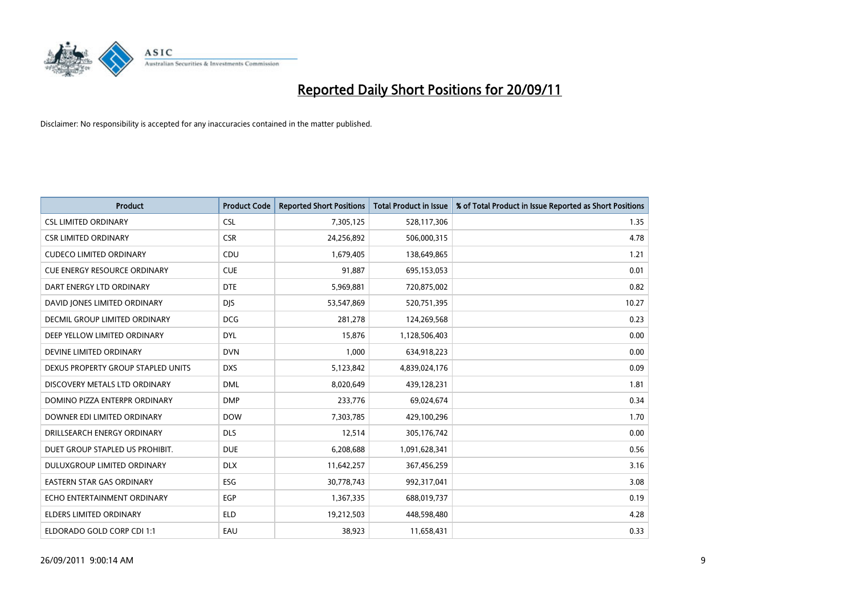

| <b>Product</b>                       | <b>Product Code</b> | <b>Reported Short Positions</b> | <b>Total Product in Issue</b> | % of Total Product in Issue Reported as Short Positions |
|--------------------------------------|---------------------|---------------------------------|-------------------------------|---------------------------------------------------------|
| <b>CSL LIMITED ORDINARY</b>          | <b>CSL</b>          | 7,305,125                       | 528,117,306                   | 1.35                                                    |
| <b>CSR LIMITED ORDINARY</b>          | <b>CSR</b>          | 24,256,892                      | 506,000,315                   | 4.78                                                    |
| <b>CUDECO LIMITED ORDINARY</b>       | <b>CDU</b>          | 1,679,405                       | 138,649,865                   | 1.21                                                    |
| <b>CUE ENERGY RESOURCE ORDINARY</b>  | <b>CUE</b>          | 91,887                          | 695,153,053                   | 0.01                                                    |
| DART ENERGY LTD ORDINARY             | <b>DTE</b>          | 5,969,881                       | 720,875,002                   | 0.82                                                    |
| DAVID JONES LIMITED ORDINARY         | <b>DJS</b>          | 53,547,869                      | 520,751,395                   | 10.27                                                   |
| <b>DECMIL GROUP LIMITED ORDINARY</b> | <b>DCG</b>          | 281.278                         | 124,269,568                   | 0.23                                                    |
| DEEP YELLOW LIMITED ORDINARY         | <b>DYL</b>          | 15,876                          | 1,128,506,403                 | 0.00                                                    |
| DEVINE LIMITED ORDINARY              | <b>DVN</b>          | 1,000                           | 634,918,223                   | 0.00                                                    |
| DEXUS PROPERTY GROUP STAPLED UNITS   | <b>DXS</b>          | 5,123,842                       | 4,839,024,176                 | 0.09                                                    |
| DISCOVERY METALS LTD ORDINARY        | <b>DML</b>          | 8,020,649                       | 439,128,231                   | 1.81                                                    |
| DOMINO PIZZA ENTERPR ORDINARY        | <b>DMP</b>          | 233,776                         | 69,024,674                    | 0.34                                                    |
| DOWNER EDI LIMITED ORDINARY          | <b>DOW</b>          | 7,303,785                       | 429,100,296                   | 1.70                                                    |
| DRILLSEARCH ENERGY ORDINARY          | <b>DLS</b>          | 12,514                          | 305,176,742                   | 0.00                                                    |
| DUET GROUP STAPLED US PROHIBIT.      | <b>DUE</b>          | 6,208,688                       | 1,091,628,341                 | 0.56                                                    |
| DULUXGROUP LIMITED ORDINARY          | <b>DLX</b>          | 11,642,257                      | 367,456,259                   | 3.16                                                    |
| <b>EASTERN STAR GAS ORDINARY</b>     | ESG                 | 30,778,743                      | 992,317,041                   | 3.08                                                    |
| ECHO ENTERTAINMENT ORDINARY          | <b>EGP</b>          | 1,367,335                       | 688,019,737                   | 0.19                                                    |
| <b>ELDERS LIMITED ORDINARY</b>       | <b>ELD</b>          | 19,212,503                      | 448,598,480                   | 4.28                                                    |
| ELDORADO GOLD CORP CDI 1:1           | EAU                 | 38,923                          | 11,658,431                    | 0.33                                                    |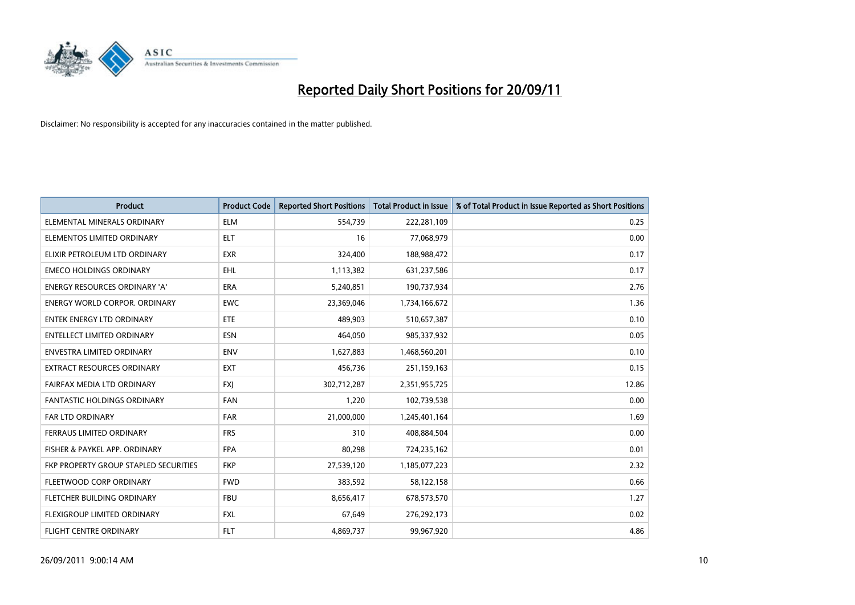

| <b>Product</b>                        | <b>Product Code</b> | <b>Reported Short Positions</b> | <b>Total Product in Issue</b> | % of Total Product in Issue Reported as Short Positions |
|---------------------------------------|---------------------|---------------------------------|-------------------------------|---------------------------------------------------------|
| ELEMENTAL MINERALS ORDINARY           | <b>ELM</b>          | 554,739                         | 222,281,109                   | 0.25                                                    |
| ELEMENTOS LIMITED ORDINARY            | <b>ELT</b>          | 16                              | 77,068,979                    | 0.00                                                    |
| ELIXIR PETROLEUM LTD ORDINARY         | <b>EXR</b>          | 324,400                         | 188,988,472                   | 0.17                                                    |
| <b>EMECO HOLDINGS ORDINARY</b>        | <b>EHL</b>          | 1,113,382                       | 631,237,586                   | 0.17                                                    |
| <b>ENERGY RESOURCES ORDINARY 'A'</b>  | <b>ERA</b>          | 5,240,851                       | 190,737,934                   | 2.76                                                    |
| <b>ENERGY WORLD CORPOR, ORDINARY</b>  | <b>EWC</b>          | 23,369,046                      | 1,734,166,672                 | 1.36                                                    |
| ENTEK ENERGY LTD ORDINARY             | <b>ETE</b>          | 489,903                         | 510,657,387                   | 0.10                                                    |
| ENTELLECT LIMITED ORDINARY            | <b>ESN</b>          | 464,050                         | 985,337,932                   | 0.05                                                    |
| <b>ENVESTRA LIMITED ORDINARY</b>      | <b>ENV</b>          | 1,627,883                       | 1,468,560,201                 | 0.10                                                    |
| <b>EXTRACT RESOURCES ORDINARY</b>     | <b>EXT</b>          | 456,736                         | 251,159,163                   | 0.15                                                    |
| FAIRFAX MEDIA LTD ORDINARY            | <b>FXJ</b>          | 302,712,287                     | 2,351,955,725                 | 12.86                                                   |
| <b>FANTASTIC HOLDINGS ORDINARY</b>    | <b>FAN</b>          | 1,220                           | 102,739,538                   | 0.00                                                    |
| <b>FAR LTD ORDINARY</b>               | <b>FAR</b>          | 21,000,000                      | 1,245,401,164                 | 1.69                                                    |
| <b>FERRAUS LIMITED ORDINARY</b>       | <b>FRS</b>          | 310                             | 408,884,504                   | 0.00                                                    |
| FISHER & PAYKEL APP. ORDINARY         | <b>FPA</b>          | 80,298                          | 724,235,162                   | 0.01                                                    |
| FKP PROPERTY GROUP STAPLED SECURITIES | <b>FKP</b>          | 27,539,120                      | 1,185,077,223                 | 2.32                                                    |
| FLEETWOOD CORP ORDINARY               | <b>FWD</b>          | 383,592                         | 58,122,158                    | 0.66                                                    |
| FLETCHER BUILDING ORDINARY            | <b>FBU</b>          | 8,656,417                       | 678,573,570                   | 1.27                                                    |
| FLEXIGROUP LIMITED ORDINARY           | <b>FXL</b>          | 67,649                          | 276,292,173                   | 0.02                                                    |
| <b>FLIGHT CENTRE ORDINARY</b>         | <b>FLT</b>          | 4,869,737                       | 99,967,920                    | 4.86                                                    |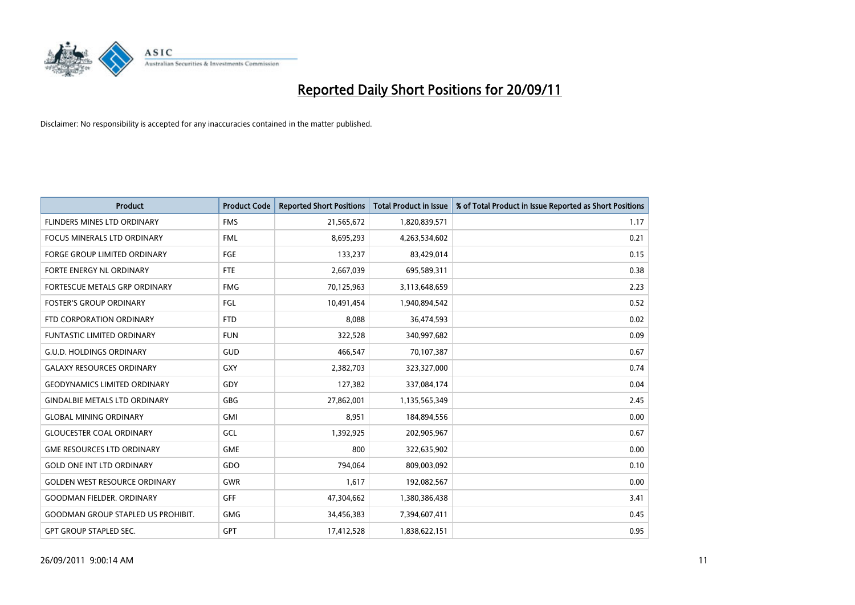

| <b>Product</b>                            | <b>Product Code</b> | <b>Reported Short Positions</b> | <b>Total Product in Issue</b> | % of Total Product in Issue Reported as Short Positions |
|-------------------------------------------|---------------------|---------------------------------|-------------------------------|---------------------------------------------------------|
| FLINDERS MINES LTD ORDINARY               | <b>FMS</b>          | 21,565,672                      | 1,820,839,571                 | 1.17                                                    |
| <b>FOCUS MINERALS LTD ORDINARY</b>        | <b>FML</b>          | 8,695,293                       | 4,263,534,602                 | 0.21                                                    |
| <b>FORGE GROUP LIMITED ORDINARY</b>       | FGE                 | 133,237                         | 83,429,014                    | 0.15                                                    |
| FORTE ENERGY NL ORDINARY                  | <b>FTE</b>          | 2,667,039                       | 695,589,311                   | 0.38                                                    |
| <b>FORTESCUE METALS GRP ORDINARY</b>      | <b>FMG</b>          | 70,125,963                      | 3,113,648,659                 | 2.23                                                    |
| <b>FOSTER'S GROUP ORDINARY</b>            | FGL                 | 10,491,454                      | 1,940,894,542                 | 0.52                                                    |
| FTD CORPORATION ORDINARY                  | <b>FTD</b>          | 8.088                           | 36,474,593                    | 0.02                                                    |
| <b>FUNTASTIC LIMITED ORDINARY</b>         | <b>FUN</b>          | 322,528                         | 340,997,682                   | 0.09                                                    |
| <b>G.U.D. HOLDINGS ORDINARY</b>           | <b>GUD</b>          | 466,547                         | 70,107,387                    | 0.67                                                    |
| <b>GALAXY RESOURCES ORDINARY</b>          | GXY                 | 2,382,703                       | 323,327,000                   | 0.74                                                    |
| <b>GEODYNAMICS LIMITED ORDINARY</b>       | GDY                 | 127,382                         | 337,084,174                   | 0.04                                                    |
| <b>GINDALBIE METALS LTD ORDINARY</b>      | <b>GBG</b>          | 27,862,001                      | 1,135,565,349                 | 2.45                                                    |
| <b>GLOBAL MINING ORDINARY</b>             | <b>GMI</b>          | 8,951                           | 184,894,556                   | 0.00                                                    |
| <b>GLOUCESTER COAL ORDINARY</b>           | GCL                 | 1,392,925                       | 202,905,967                   | 0.67                                                    |
| <b>GME RESOURCES LTD ORDINARY</b>         | GME                 | 800                             | 322,635,902                   | 0.00                                                    |
| <b>GOLD ONE INT LTD ORDINARY</b>          | GDO                 | 794.064                         | 809,003,092                   | 0.10                                                    |
| <b>GOLDEN WEST RESOURCE ORDINARY</b>      | <b>GWR</b>          | 1,617                           | 192,082,567                   | 0.00                                                    |
| <b>GOODMAN FIELDER, ORDINARY</b>          | <b>GFF</b>          | 47,304,662                      | 1,380,386,438                 | 3.41                                                    |
| <b>GOODMAN GROUP STAPLED US PROHIBIT.</b> | <b>GMG</b>          | 34,456,383                      | 7,394,607,411                 | 0.45                                                    |
| <b>GPT GROUP STAPLED SEC.</b>             | GPT                 | 17,412,528                      | 1,838,622,151                 | 0.95                                                    |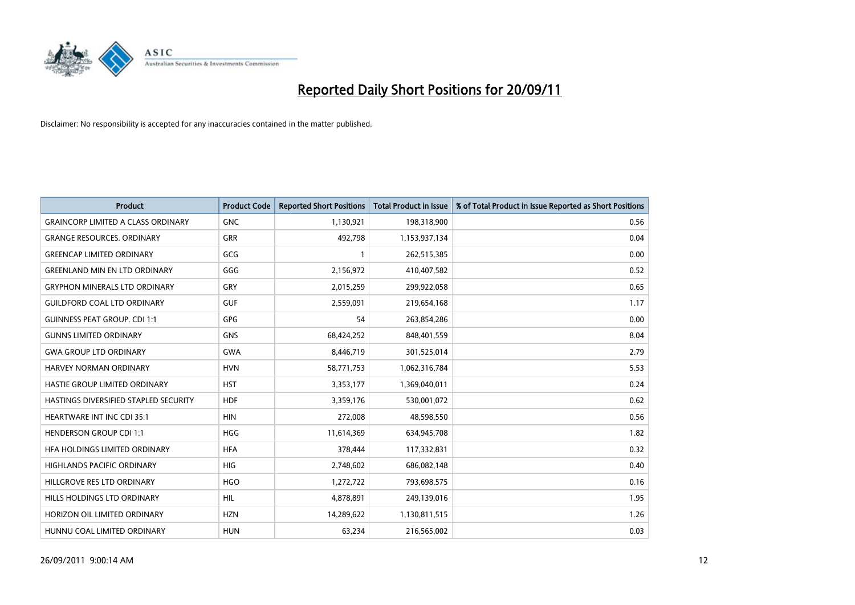

| <b>Product</b>                            | <b>Product Code</b> | <b>Reported Short Positions</b> | <b>Total Product in Issue</b> | % of Total Product in Issue Reported as Short Positions |
|-------------------------------------------|---------------------|---------------------------------|-------------------------------|---------------------------------------------------------|
| <b>GRAINCORP LIMITED A CLASS ORDINARY</b> | <b>GNC</b>          | 1,130,921                       | 198,318,900                   | 0.56                                                    |
| <b>GRANGE RESOURCES. ORDINARY</b>         | <b>GRR</b>          | 492,798                         | 1,153,937,134                 | 0.04                                                    |
| <b>GREENCAP LIMITED ORDINARY</b>          | GCG                 |                                 | 262,515,385                   | 0.00                                                    |
| <b>GREENLAND MIN EN LTD ORDINARY</b>      | GGG                 | 2,156,972                       | 410,407,582                   | 0.52                                                    |
| <b>GRYPHON MINERALS LTD ORDINARY</b>      | GRY                 | 2,015,259                       | 299,922,058                   | 0.65                                                    |
| <b>GUILDFORD COAL LTD ORDINARY</b>        | <b>GUF</b>          | 2,559,091                       | 219,654,168                   | 1.17                                                    |
| <b>GUINNESS PEAT GROUP. CDI 1:1</b>       | <b>GPG</b>          | 54                              | 263,854,286                   | 0.00                                                    |
| <b>GUNNS LIMITED ORDINARY</b>             | <b>GNS</b>          | 68,424,252                      | 848,401,559                   | 8.04                                                    |
| <b>GWA GROUP LTD ORDINARY</b>             | <b>GWA</b>          | 8,446,719                       | 301,525,014                   | 2.79                                                    |
| <b>HARVEY NORMAN ORDINARY</b>             | <b>HVN</b>          | 58,771,753                      | 1,062,316,784                 | 5.53                                                    |
| HASTIE GROUP LIMITED ORDINARY             | <b>HST</b>          | 3,353,177                       | 1,369,040,011                 | 0.24                                                    |
| HASTINGS DIVERSIFIED STAPLED SECURITY     | <b>HDF</b>          | 3,359,176                       | 530,001,072                   | 0.62                                                    |
| HEARTWARE INT INC CDI 35:1                | <b>HIN</b>          | 272,008                         | 48,598,550                    | 0.56                                                    |
| <b>HENDERSON GROUP CDI 1:1</b>            | <b>HGG</b>          | 11,614,369                      | 634,945,708                   | 1.82                                                    |
| HFA HOLDINGS LIMITED ORDINARY             | <b>HFA</b>          | 378,444                         | 117,332,831                   | 0.32                                                    |
| HIGHLANDS PACIFIC ORDINARY                | <b>HIG</b>          | 2,748,602                       | 686,082,148                   | 0.40                                                    |
| HILLGROVE RES LTD ORDINARY                | <b>HGO</b>          | 1,272,722                       | 793,698,575                   | 0.16                                                    |
| HILLS HOLDINGS LTD ORDINARY               | <b>HIL</b>          | 4,878,891                       | 249,139,016                   | 1.95                                                    |
| HORIZON OIL LIMITED ORDINARY              | <b>HZN</b>          | 14,289,622                      | 1,130,811,515                 | 1.26                                                    |
| HUNNU COAL LIMITED ORDINARY               | <b>HUN</b>          | 63,234                          | 216,565,002                   | 0.03                                                    |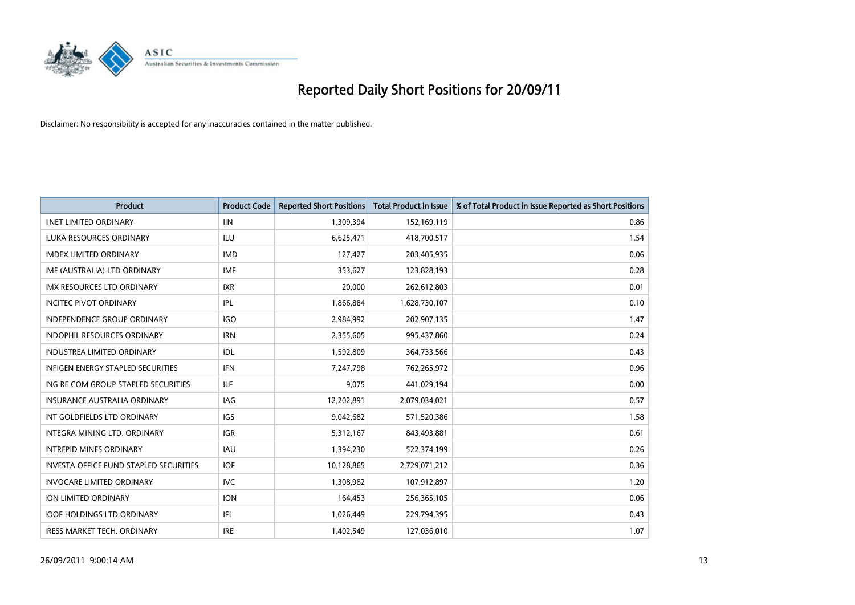

| <b>Product</b>                           | <b>Product Code</b> | <b>Reported Short Positions</b> | <b>Total Product in Issue</b> | % of Total Product in Issue Reported as Short Positions |
|------------------------------------------|---------------------|---------------------------------|-------------------------------|---------------------------------------------------------|
| <b>IINET LIMITED ORDINARY</b>            | <b>IIN</b>          | 1,309,394                       | 152,169,119                   | 0.86                                                    |
| ILUKA RESOURCES ORDINARY                 | ILU                 | 6,625,471                       | 418,700,517                   | 1.54                                                    |
| <b>IMDEX LIMITED ORDINARY</b>            | <b>IMD</b>          | 127,427                         | 203,405,935                   | 0.06                                                    |
| IMF (AUSTRALIA) LTD ORDINARY             | <b>IMF</b>          | 353,627                         | 123,828,193                   | 0.28                                                    |
| <b>IMX RESOURCES LTD ORDINARY</b>        | <b>IXR</b>          | 20,000                          | 262,612,803                   | 0.01                                                    |
| <b>INCITEC PIVOT ORDINARY</b>            | IPL                 | 1,866,884                       | 1,628,730,107                 | 0.10                                                    |
| <b>INDEPENDENCE GROUP ORDINARY</b>       | <b>IGO</b>          | 2,984,992                       | 202,907,135                   | 1.47                                                    |
| INDOPHIL RESOURCES ORDINARY              | <b>IRN</b>          | 2,355,605                       | 995,437,860                   | 0.24                                                    |
| INDUSTREA LIMITED ORDINARY               | IDL                 | 1,592,809                       | 364,733,566                   | 0.43                                                    |
| <b>INFIGEN ENERGY STAPLED SECURITIES</b> | <b>IFN</b>          | 7,247,798                       | 762,265,972                   | 0.96                                                    |
| ING RE COM GROUP STAPLED SECURITIES      | ILF.                | 9,075                           | 441,029,194                   | 0.00                                                    |
| <b>INSURANCE AUSTRALIA ORDINARY</b>      | IAG                 | 12,202,891                      | 2,079,034,021                 | 0.57                                                    |
| INT GOLDFIELDS LTD ORDINARY              | <b>IGS</b>          | 9,042,682                       | 571,520,386                   | 1.58                                                    |
| <b>INTEGRA MINING LTD, ORDINARY</b>      | <b>IGR</b>          | 5,312,167                       | 843,493,881                   | 0.61                                                    |
| <b>INTREPID MINES ORDINARY</b>           | <b>IAU</b>          | 1,394,230                       | 522,374,199                   | 0.26                                                    |
| INVESTA OFFICE FUND STAPLED SECURITIES   | IOF                 | 10,128,865                      | 2,729,071,212                 | 0.36                                                    |
| <b>INVOCARE LIMITED ORDINARY</b>         | IVC                 | 1,308,982                       | 107,912,897                   | 1.20                                                    |
| ION LIMITED ORDINARY                     | <b>ION</b>          | 164,453                         | 256,365,105                   | 0.06                                                    |
| <b>IOOF HOLDINGS LTD ORDINARY</b>        | IFL.                | 1,026,449                       | 229,794,395                   | 0.43                                                    |
| <b>IRESS MARKET TECH. ORDINARY</b>       | <b>IRE</b>          | 1,402,549                       | 127,036,010                   | 1.07                                                    |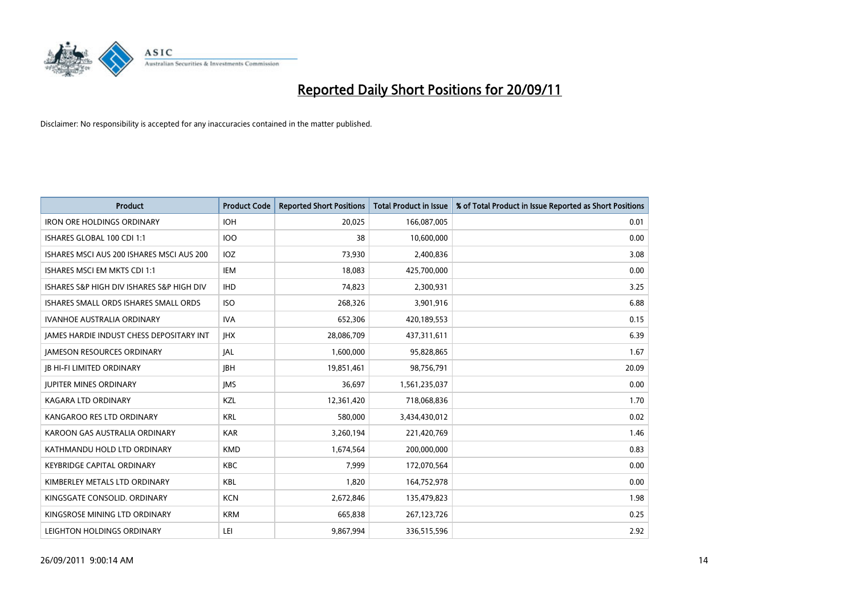

| <b>Product</b>                                  | <b>Product Code</b> | <b>Reported Short Positions</b> | <b>Total Product in Issue</b> | % of Total Product in Issue Reported as Short Positions |
|-------------------------------------------------|---------------------|---------------------------------|-------------------------------|---------------------------------------------------------|
| <b>IRON ORE HOLDINGS ORDINARY</b>               | <b>IOH</b>          | 20,025                          | 166,087,005                   | 0.01                                                    |
| ISHARES GLOBAL 100 CDI 1:1                      | 100                 | 38                              | 10,600,000                    | 0.00                                                    |
| ISHARES MSCI AUS 200 ISHARES MSCI AUS 200       | <b>IOZ</b>          | 73,930                          | 2,400,836                     | 3.08                                                    |
| ISHARES MSCI EM MKTS CDI 1:1                    | <b>IEM</b>          | 18,083                          | 425,700,000                   | 0.00                                                    |
| ISHARES S&P HIGH DIV ISHARES S&P HIGH DIV       | <b>IHD</b>          | 74,823                          | 2,300,931                     | 3.25                                                    |
| ISHARES SMALL ORDS ISHARES SMALL ORDS           | <b>ISO</b>          | 268,326                         | 3,901,916                     | 6.88                                                    |
| <b>IVANHOE AUSTRALIA ORDINARY</b>               | <b>IVA</b>          | 652,306                         | 420,189,553                   | 0.15                                                    |
| <b>JAMES HARDIE INDUST CHESS DEPOSITARY INT</b> | <b>IHX</b>          | 28,086,709                      | 437,311,611                   | 6.39                                                    |
| <b>JAMESON RESOURCES ORDINARY</b>               | <b>JAL</b>          | 1,600,000                       | 95,828,865                    | 1.67                                                    |
| <b>JB HI-FI LIMITED ORDINARY</b>                | <b>IBH</b>          | 19,851,461                      | 98,756,791                    | 20.09                                                   |
| <b>JUPITER MINES ORDINARY</b>                   | <b>IMS</b>          | 36,697                          | 1,561,235,037                 | 0.00                                                    |
| <b>KAGARA LTD ORDINARY</b>                      | <b>KZL</b>          | 12,361,420                      | 718,068,836                   | 1.70                                                    |
| KANGAROO RES LTD ORDINARY                       | <b>KRL</b>          | 580,000                         | 3,434,430,012                 | 0.02                                                    |
| KAROON GAS AUSTRALIA ORDINARY                   | <b>KAR</b>          | 3,260,194                       | 221,420,769                   | 1.46                                                    |
| KATHMANDU HOLD LTD ORDINARY                     | <b>KMD</b>          | 1,674,564                       | 200,000,000                   | 0.83                                                    |
| <b>KEYBRIDGE CAPITAL ORDINARY</b>               | <b>KBC</b>          | 7,999                           | 172,070,564                   | 0.00                                                    |
| KIMBERLEY METALS LTD ORDINARY                   | <b>KBL</b>          | 1,820                           | 164,752,978                   | 0.00                                                    |
| KINGSGATE CONSOLID. ORDINARY                    | <b>KCN</b>          | 2,672,846                       | 135,479,823                   | 1.98                                                    |
| KINGSROSE MINING LTD ORDINARY                   | <b>KRM</b>          | 665,838                         | 267,123,726                   | 0.25                                                    |
| LEIGHTON HOLDINGS ORDINARY                      | LEI                 | 9,867,994                       | 336,515,596                   | 2.92                                                    |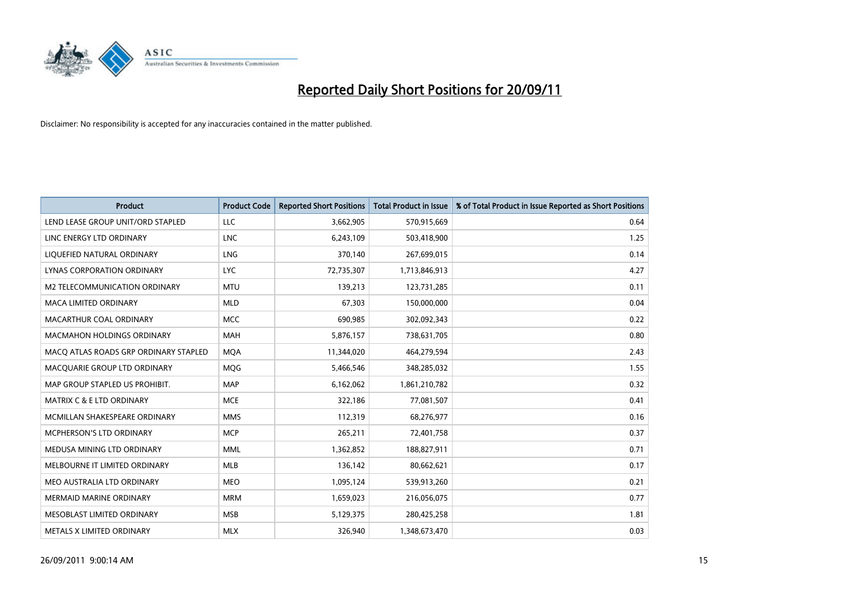

| <b>Product</b>                        | <b>Product Code</b> | <b>Reported Short Positions</b> | <b>Total Product in Issue</b> | % of Total Product in Issue Reported as Short Positions |
|---------------------------------------|---------------------|---------------------------------|-------------------------------|---------------------------------------------------------|
| LEND LEASE GROUP UNIT/ORD STAPLED     | <b>LLC</b>          | 3,662,905                       | 570,915,669                   | 0.64                                                    |
| LINC ENERGY LTD ORDINARY              | <b>LNC</b>          | 6,243,109                       | 503,418,900                   | 1.25                                                    |
| LIQUEFIED NATURAL ORDINARY            | <b>LNG</b>          | 370,140                         | 267,699,015                   | 0.14                                                    |
| <b>LYNAS CORPORATION ORDINARY</b>     | <b>LYC</b>          | 72,735,307                      | 1,713,846,913                 | 4.27                                                    |
| M2 TELECOMMUNICATION ORDINARY         | <b>MTU</b>          | 139,213                         | 123,731,285                   | 0.11                                                    |
| <b>MACA LIMITED ORDINARY</b>          | <b>MLD</b>          | 67,303                          | 150,000,000                   | 0.04                                                    |
| MACARTHUR COAL ORDINARY               | <b>MCC</b>          | 690,985                         | 302,092,343                   | 0.22                                                    |
| <b>MACMAHON HOLDINGS ORDINARY</b>     | <b>MAH</b>          | 5,876,157                       | 738,631,705                   | 0.80                                                    |
| MACO ATLAS ROADS GRP ORDINARY STAPLED | <b>MQA</b>          | 11,344,020                      | 464,279,594                   | 2.43                                                    |
| MACOUARIE GROUP LTD ORDINARY          | <b>MOG</b>          | 5,466,546                       | 348,285,032                   | 1.55                                                    |
| MAP GROUP STAPLED US PROHIBIT.        | <b>MAP</b>          | 6,162,062                       | 1,861,210,782                 | 0.32                                                    |
| MATRIX C & E LTD ORDINARY             | <b>MCE</b>          | 322,186                         | 77,081,507                    | 0.41                                                    |
| MCMILLAN SHAKESPEARE ORDINARY         | <b>MMS</b>          | 112,319                         | 68,276,977                    | 0.16                                                    |
| MCPHERSON'S LTD ORDINARY              | <b>MCP</b>          | 265,211                         | 72,401,758                    | 0.37                                                    |
| MEDUSA MINING LTD ORDINARY            | <b>MML</b>          | 1,362,852                       | 188,827,911                   | 0.71                                                    |
| MELBOURNE IT LIMITED ORDINARY         | <b>MLB</b>          | 136,142                         | 80,662,621                    | 0.17                                                    |
| MEO AUSTRALIA LTD ORDINARY            | <b>MEO</b>          | 1,095,124                       | 539,913,260                   | 0.21                                                    |
| MERMAID MARINE ORDINARY               | <b>MRM</b>          | 1,659,023                       | 216,056,075                   | 0.77                                                    |
| MESOBLAST LIMITED ORDINARY            | <b>MSB</b>          | 5,129,375                       | 280,425,258                   | 1.81                                                    |
| METALS X LIMITED ORDINARY             | <b>MLX</b>          | 326,940                         | 1,348,673,470                 | 0.03                                                    |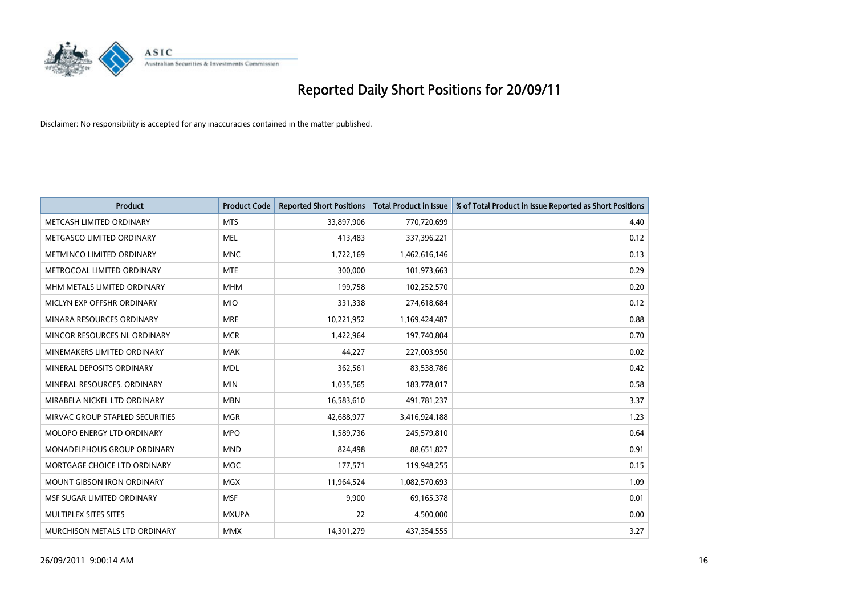

| <b>Product</b>                     | <b>Product Code</b> | <b>Reported Short Positions</b> | <b>Total Product in Issue</b> | % of Total Product in Issue Reported as Short Positions |
|------------------------------------|---------------------|---------------------------------|-------------------------------|---------------------------------------------------------|
| METCASH LIMITED ORDINARY           | <b>MTS</b>          | 33,897,906                      | 770,720,699                   | 4.40                                                    |
| METGASCO LIMITED ORDINARY          | <b>MEL</b>          | 413,483                         | 337,396,221                   | 0.12                                                    |
| METMINCO LIMITED ORDINARY          | <b>MNC</b>          | 1,722,169                       | 1,462,616,146                 | 0.13                                                    |
| METROCOAL LIMITED ORDINARY         | <b>MTE</b>          | 300,000                         | 101,973,663                   | 0.29                                                    |
| MHM METALS LIMITED ORDINARY        | <b>MHM</b>          | 199,758                         | 102,252,570                   | 0.20                                                    |
| MICLYN EXP OFFSHR ORDINARY         | <b>MIO</b>          | 331,338                         | 274,618,684                   | 0.12                                                    |
| MINARA RESOURCES ORDINARY          | <b>MRE</b>          | 10,221,952                      | 1,169,424,487                 | 0.88                                                    |
| MINCOR RESOURCES NL ORDINARY       | <b>MCR</b>          | 1,422,964                       | 197,740,804                   | 0.70                                                    |
| MINEMAKERS LIMITED ORDINARY        | <b>MAK</b>          | 44,227                          | 227,003,950                   | 0.02                                                    |
| MINERAL DEPOSITS ORDINARY          | <b>MDL</b>          | 362,561                         | 83,538,786                    | 0.42                                                    |
| MINERAL RESOURCES, ORDINARY        | <b>MIN</b>          | 1,035,565                       | 183,778,017                   | 0.58                                                    |
| MIRABELA NICKEL LTD ORDINARY       | <b>MBN</b>          | 16,583,610                      | 491,781,237                   | 3.37                                                    |
| MIRVAC GROUP STAPLED SECURITIES    | <b>MGR</b>          | 42,688,977                      | 3,416,924,188                 | 1.23                                                    |
| MOLOPO ENERGY LTD ORDINARY         | <b>MPO</b>          | 1,589,736                       | 245,579,810                   | 0.64                                                    |
| <b>MONADELPHOUS GROUP ORDINARY</b> | <b>MND</b>          | 824,498                         | 88,651,827                    | 0.91                                                    |
| MORTGAGE CHOICE LTD ORDINARY       | <b>MOC</b>          | 177,571                         | 119,948,255                   | 0.15                                                    |
| MOUNT GIBSON IRON ORDINARY         | <b>MGX</b>          | 11,964,524                      | 1,082,570,693                 | 1.09                                                    |
| MSF SUGAR LIMITED ORDINARY         | <b>MSF</b>          | 9,900                           | 69,165,378                    | 0.01                                                    |
| MULTIPLEX SITES SITES              | <b>MXUPA</b>        | 22                              | 4,500,000                     | 0.00                                                    |
| MURCHISON METALS LTD ORDINARY      | <b>MMX</b>          | 14,301,279                      | 437,354,555                   | 3.27                                                    |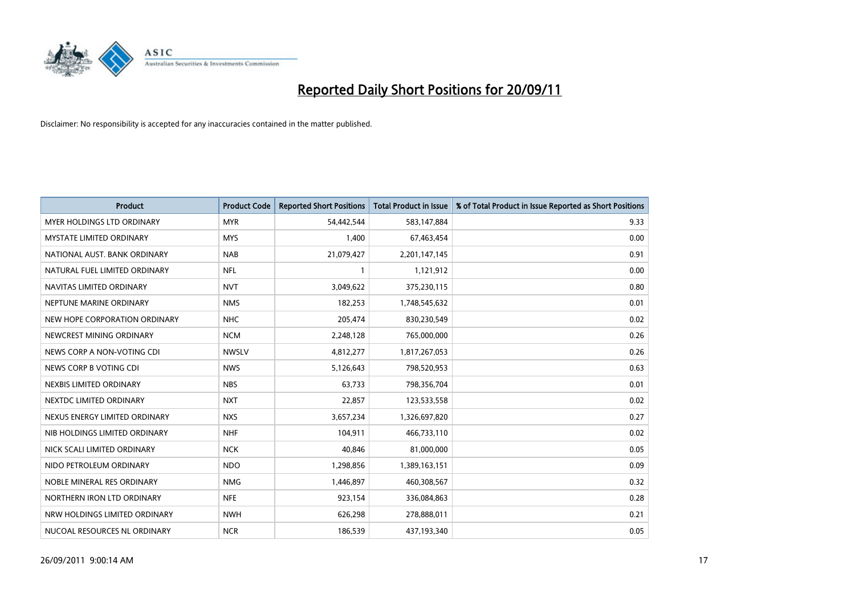

| <b>Product</b>                    | <b>Product Code</b> | <b>Reported Short Positions</b> | <b>Total Product in Issue</b> | % of Total Product in Issue Reported as Short Positions |
|-----------------------------------|---------------------|---------------------------------|-------------------------------|---------------------------------------------------------|
| <b>MYER HOLDINGS LTD ORDINARY</b> | <b>MYR</b>          | 54,442,544                      | 583,147,884                   | 9.33                                                    |
| MYSTATE LIMITED ORDINARY          | <b>MYS</b>          | 1,400                           | 67,463,454                    | 0.00                                                    |
| NATIONAL AUST. BANK ORDINARY      | <b>NAB</b>          | 21,079,427                      | 2,201,147,145                 | 0.91                                                    |
| NATURAL FUEL LIMITED ORDINARY     | <b>NFL</b>          | $\mathbf{1}$                    | 1,121,912                     | 0.00                                                    |
| NAVITAS LIMITED ORDINARY          | <b>NVT</b>          | 3,049,622                       | 375,230,115                   | 0.80                                                    |
| NEPTUNE MARINE ORDINARY           | <b>NMS</b>          | 182,253                         | 1,748,545,632                 | 0.01                                                    |
| NEW HOPE CORPORATION ORDINARY     | NHC                 | 205,474                         | 830,230,549                   | 0.02                                                    |
| NEWCREST MINING ORDINARY          | <b>NCM</b>          | 2,248,128                       | 765,000,000                   | 0.26                                                    |
| NEWS CORP A NON-VOTING CDI        | <b>NWSLV</b>        | 4,812,277                       | 1,817,267,053                 | 0.26                                                    |
| NEWS CORP B VOTING CDI            | <b>NWS</b>          | 5,126,643                       | 798,520,953                   | 0.63                                                    |
| NEXBIS LIMITED ORDINARY           | <b>NBS</b>          | 63,733                          | 798,356,704                   | 0.01                                                    |
| NEXTDC LIMITED ORDINARY           | <b>NXT</b>          | 22,857                          | 123,533,558                   | 0.02                                                    |
| NEXUS ENERGY LIMITED ORDINARY     | <b>NXS</b>          | 3,657,234                       | 1,326,697,820                 | 0.27                                                    |
| NIB HOLDINGS LIMITED ORDINARY     | <b>NHF</b>          | 104,911                         | 466,733,110                   | 0.02                                                    |
| NICK SCALI LIMITED ORDINARY       | <b>NCK</b>          | 40,846                          | 81,000,000                    | 0.05                                                    |
| NIDO PETROLEUM ORDINARY           | <b>NDO</b>          | 1,298,856                       | 1,389,163,151                 | 0.09                                                    |
| NOBLE MINERAL RES ORDINARY        | <b>NMG</b>          | 1,446,897                       | 460,308,567                   | 0.32                                                    |
| NORTHERN IRON LTD ORDINARY        | <b>NFE</b>          | 923,154                         | 336,084,863                   | 0.28                                                    |
| NRW HOLDINGS LIMITED ORDINARY     | <b>NWH</b>          | 626,298                         | 278,888,011                   | 0.21                                                    |
| NUCOAL RESOURCES NL ORDINARY      | <b>NCR</b>          | 186,539                         | 437,193,340                   | 0.05                                                    |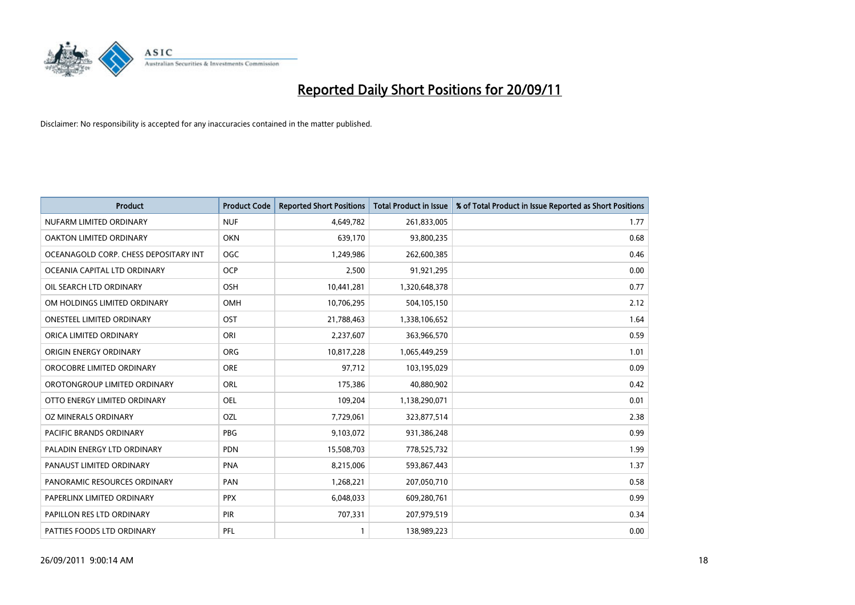

| <b>Product</b>                        | <b>Product Code</b> | <b>Reported Short Positions</b> | <b>Total Product in Issue</b> | % of Total Product in Issue Reported as Short Positions |
|---------------------------------------|---------------------|---------------------------------|-------------------------------|---------------------------------------------------------|
| NUFARM LIMITED ORDINARY               | <b>NUF</b>          | 4,649,782                       | 261,833,005                   | 1.77                                                    |
| OAKTON LIMITED ORDINARY               | <b>OKN</b>          | 639,170                         | 93,800,235                    | 0.68                                                    |
| OCEANAGOLD CORP. CHESS DEPOSITARY INT | <b>OGC</b>          | 1,249,986                       | 262,600,385                   | 0.46                                                    |
| OCEANIA CAPITAL LTD ORDINARY          | <b>OCP</b>          | 2,500                           | 91,921,295                    | 0.00                                                    |
| OIL SEARCH LTD ORDINARY               | <b>OSH</b>          | 10,441,281                      | 1,320,648,378                 | 0.77                                                    |
| OM HOLDINGS LIMITED ORDINARY          | OMH                 | 10,706,295                      | 504,105,150                   | 2.12                                                    |
| ONESTEEL LIMITED ORDINARY             | OST                 | 21,788,463                      | 1,338,106,652                 | 1.64                                                    |
| ORICA LIMITED ORDINARY                | ORI                 | 2,237,607                       | 363,966,570                   | 0.59                                                    |
| ORIGIN ENERGY ORDINARY                | <b>ORG</b>          | 10,817,228                      | 1,065,449,259                 | 1.01                                                    |
| OROCOBRE LIMITED ORDINARY             | <b>ORE</b>          | 97,712                          | 103,195,029                   | 0.09                                                    |
| OROTONGROUP LIMITED ORDINARY          | ORL                 | 175,386                         | 40,880,902                    | 0.42                                                    |
| OTTO ENERGY LIMITED ORDINARY          | OEL                 | 109,204                         | 1,138,290,071                 | 0.01                                                    |
| OZ MINERALS ORDINARY                  | OZL                 | 7,729,061                       | 323,877,514                   | 2.38                                                    |
| <b>PACIFIC BRANDS ORDINARY</b>        | <b>PBG</b>          | 9,103,072                       | 931,386,248                   | 0.99                                                    |
| PALADIN ENERGY LTD ORDINARY           | <b>PDN</b>          | 15,508,703                      | 778,525,732                   | 1.99                                                    |
| PANAUST LIMITED ORDINARY              | <b>PNA</b>          | 8,215,006                       | 593,867,443                   | 1.37                                                    |
| PANORAMIC RESOURCES ORDINARY          | PAN                 | 1,268,221                       | 207,050,710                   | 0.58                                                    |
| PAPERLINX LIMITED ORDINARY            | <b>PPX</b>          | 6,048,033                       | 609,280,761                   | 0.99                                                    |
| PAPILLON RES LTD ORDINARY             | <b>PIR</b>          | 707,331                         | 207,979,519                   | 0.34                                                    |
| PATTIES FOODS LTD ORDINARY            | PFL                 |                                 | 138,989,223                   | 0.00                                                    |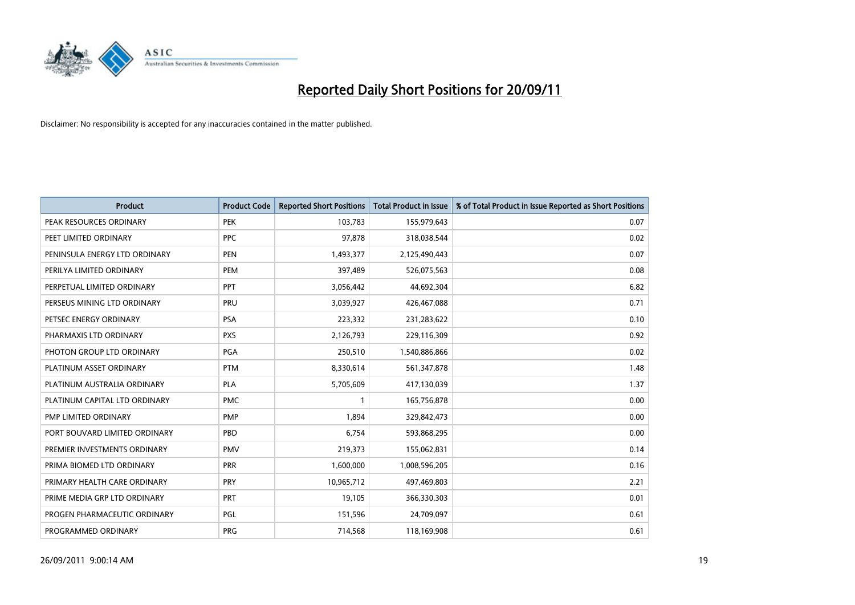

| <b>Product</b>                | <b>Product Code</b> | <b>Reported Short Positions</b> | <b>Total Product in Issue</b> | % of Total Product in Issue Reported as Short Positions |
|-------------------------------|---------------------|---------------------------------|-------------------------------|---------------------------------------------------------|
| PEAK RESOURCES ORDINARY       | <b>PEK</b>          | 103,783                         | 155,979,643                   | 0.07                                                    |
| PEET LIMITED ORDINARY         | <b>PPC</b>          | 97,878                          | 318,038,544                   | 0.02                                                    |
| PENINSULA ENERGY LTD ORDINARY | <b>PEN</b>          | 1,493,377                       | 2,125,490,443                 | 0.07                                                    |
| PERILYA LIMITED ORDINARY      | PEM                 | 397,489                         | 526,075,563                   | 0.08                                                    |
| PERPETUAL LIMITED ORDINARY    | <b>PPT</b>          | 3,056,442                       | 44,692,304                    | 6.82                                                    |
| PERSEUS MINING LTD ORDINARY   | PRU                 | 3,039,927                       | 426,467,088                   | 0.71                                                    |
| PETSEC ENERGY ORDINARY        | <b>PSA</b>          | 223,332                         | 231,283,622                   | 0.10                                                    |
| PHARMAXIS LTD ORDINARY        | <b>PXS</b>          | 2,126,793                       | 229,116,309                   | 0.92                                                    |
| PHOTON GROUP LTD ORDINARY     | <b>PGA</b>          | 250,510                         | 1,540,886,866                 | 0.02                                                    |
| PLATINUM ASSET ORDINARY       | <b>PTM</b>          | 8,330,614                       | 561,347,878                   | 1.48                                                    |
| PLATINUM AUSTRALIA ORDINARY   | <b>PLA</b>          | 5,705,609                       | 417,130,039                   | 1.37                                                    |
| PLATINUM CAPITAL LTD ORDINARY | <b>PMC</b>          |                                 | 165,756,878                   | 0.00                                                    |
| PMP LIMITED ORDINARY          | <b>PMP</b>          | 1,894                           | 329,842,473                   | 0.00                                                    |
| PORT BOUVARD LIMITED ORDINARY | PBD                 | 6,754                           | 593,868,295                   | 0.00                                                    |
| PREMIER INVESTMENTS ORDINARY  | <b>PMV</b>          | 219,373                         | 155,062,831                   | 0.14                                                    |
| PRIMA BIOMED LTD ORDINARY     | <b>PRR</b>          | 1,600,000                       | 1,008,596,205                 | 0.16                                                    |
| PRIMARY HEALTH CARE ORDINARY  | <b>PRY</b>          | 10,965,712                      | 497,469,803                   | 2.21                                                    |
| PRIME MEDIA GRP LTD ORDINARY  | PRT                 | 19,105                          | 366,330,303                   | 0.01                                                    |
| PROGEN PHARMACEUTIC ORDINARY  | PGL                 | 151,596                         | 24,709,097                    | 0.61                                                    |
| PROGRAMMED ORDINARY           | <b>PRG</b>          | 714,568                         | 118,169,908                   | 0.61                                                    |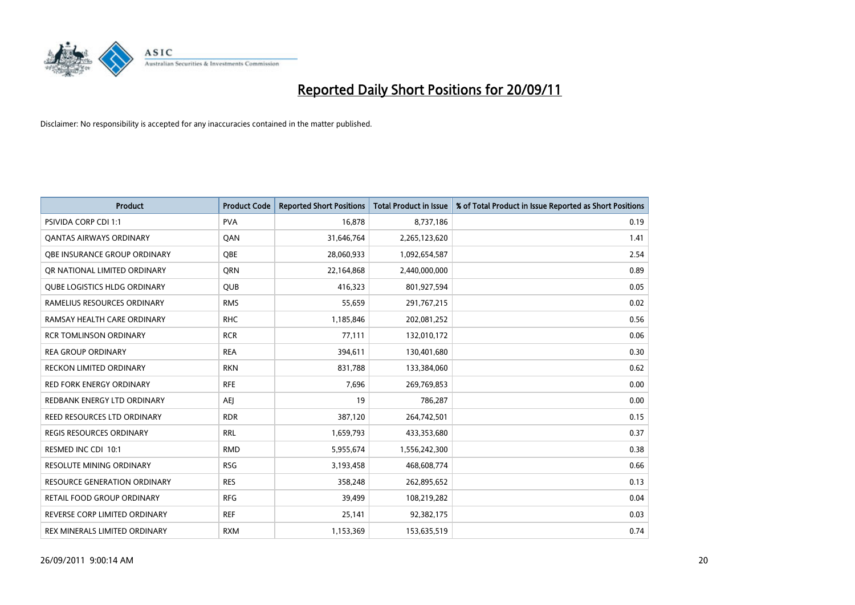

| <b>Product</b>                      | <b>Product Code</b> | <b>Reported Short Positions</b> | <b>Total Product in Issue</b> | % of Total Product in Issue Reported as Short Positions |
|-------------------------------------|---------------------|---------------------------------|-------------------------------|---------------------------------------------------------|
| <b>PSIVIDA CORP CDI 1:1</b>         | <b>PVA</b>          | 16,878                          | 8,737,186                     | 0.19                                                    |
| <b>QANTAS AIRWAYS ORDINARY</b>      | QAN                 | 31,646,764                      | 2,265,123,620                 | 1.41                                                    |
| OBE INSURANCE GROUP ORDINARY        | <b>OBE</b>          | 28,060,933                      | 1,092,654,587                 | 2.54                                                    |
| OR NATIONAL LIMITED ORDINARY        | <b>ORN</b>          | 22,164,868                      | 2,440,000,000                 | 0.89                                                    |
| <b>QUBE LOGISTICS HLDG ORDINARY</b> | <b>QUB</b>          | 416,323                         | 801,927,594                   | 0.05                                                    |
| RAMELIUS RESOURCES ORDINARY         | <b>RMS</b>          | 55,659                          | 291,767,215                   | 0.02                                                    |
| RAMSAY HEALTH CARE ORDINARY         | <b>RHC</b>          | 1,185,846                       | 202,081,252                   | 0.56                                                    |
| <b>RCR TOMLINSON ORDINARY</b>       | <b>RCR</b>          | 77,111                          | 132,010,172                   | 0.06                                                    |
| <b>REA GROUP ORDINARY</b>           | <b>REA</b>          | 394,611                         | 130,401,680                   | 0.30                                                    |
| <b>RECKON LIMITED ORDINARY</b>      | <b>RKN</b>          | 831,788                         | 133,384,060                   | 0.62                                                    |
| RED FORK ENERGY ORDINARY            | <b>RFE</b>          | 7,696                           | 269,769,853                   | 0.00                                                    |
| REDBANK ENERGY LTD ORDINARY         | AEJ                 | 19                              | 786,287                       | 0.00                                                    |
| REED RESOURCES LTD ORDINARY         | <b>RDR</b>          | 387,120                         | 264,742,501                   | 0.15                                                    |
| REGIS RESOURCES ORDINARY            | <b>RRL</b>          | 1,659,793                       | 433,353,680                   | 0.37                                                    |
| RESMED INC CDI 10:1                 | <b>RMD</b>          | 5,955,674                       | 1,556,242,300                 | 0.38                                                    |
| RESOLUTE MINING ORDINARY            | <b>RSG</b>          | 3,193,458                       | 468,608,774                   | 0.66                                                    |
| RESOURCE GENERATION ORDINARY        | <b>RES</b>          | 358,248                         | 262,895,652                   | 0.13                                                    |
| RETAIL FOOD GROUP ORDINARY          | <b>RFG</b>          | 39,499                          | 108,219,282                   | 0.04                                                    |
| REVERSE CORP LIMITED ORDINARY       | <b>REF</b>          | 25,141                          | 92,382,175                    | 0.03                                                    |
| REX MINERALS LIMITED ORDINARY       | <b>RXM</b>          | 1,153,369                       | 153,635,519                   | 0.74                                                    |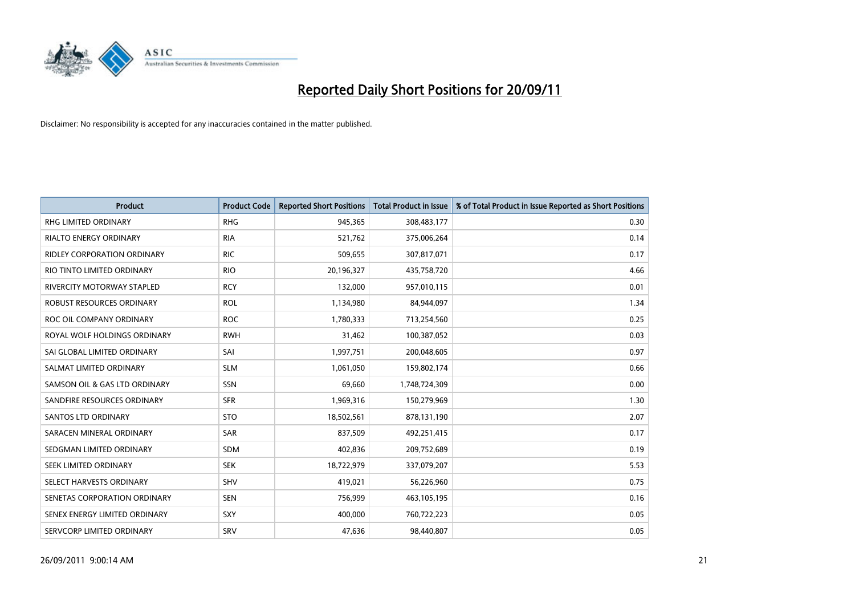

| <b>Product</b>                     | <b>Product Code</b> | <b>Reported Short Positions</b> | <b>Total Product in Issue</b> | % of Total Product in Issue Reported as Short Positions |
|------------------------------------|---------------------|---------------------------------|-------------------------------|---------------------------------------------------------|
| <b>RHG LIMITED ORDINARY</b>        | <b>RHG</b>          | 945,365                         | 308,483,177                   | 0.30                                                    |
| RIALTO ENERGY ORDINARY             | <b>RIA</b>          | 521,762                         | 375,006,264                   | 0.14                                                    |
| <b>RIDLEY CORPORATION ORDINARY</b> | <b>RIC</b>          | 509,655                         | 307,817,071                   | 0.17                                                    |
| RIO TINTO LIMITED ORDINARY         | <b>RIO</b>          | 20,196,327                      | 435,758,720                   | 4.66                                                    |
| <b>RIVERCITY MOTORWAY STAPLED</b>  | <b>RCY</b>          | 132,000                         | 957,010,115                   | 0.01                                                    |
| ROBUST RESOURCES ORDINARY          | <b>ROL</b>          | 1,134,980                       | 84,944,097                    | 1.34                                                    |
| ROC OIL COMPANY ORDINARY           | <b>ROC</b>          | 1,780,333                       | 713,254,560                   | 0.25                                                    |
| ROYAL WOLF HOLDINGS ORDINARY       | <b>RWH</b>          | 31,462                          | 100,387,052                   | 0.03                                                    |
| SAI GLOBAL LIMITED ORDINARY        | SAI                 | 1,997,751                       | 200,048,605                   | 0.97                                                    |
| SALMAT LIMITED ORDINARY            | <b>SLM</b>          | 1,061,050                       | 159,802,174                   | 0.66                                                    |
| SAMSON OIL & GAS LTD ORDINARY      | SSN                 | 69,660                          | 1,748,724,309                 | 0.00                                                    |
| SANDFIRE RESOURCES ORDINARY        | <b>SFR</b>          | 1,969,316                       | 150,279,969                   | 1.30                                                    |
| <b>SANTOS LTD ORDINARY</b>         | <b>STO</b>          | 18,502,561                      | 878,131,190                   | 2.07                                                    |
| SARACEN MINERAL ORDINARY           | SAR                 | 837,509                         | 492,251,415                   | 0.17                                                    |
| SEDGMAN LIMITED ORDINARY           | <b>SDM</b>          | 402,836                         | 209,752,689                   | 0.19                                                    |
| SEEK LIMITED ORDINARY              | <b>SEK</b>          | 18,722,979                      | 337,079,207                   | 5.53                                                    |
| SELECT HARVESTS ORDINARY           | SHV                 | 419,021                         | 56,226,960                    | 0.75                                                    |
| SENETAS CORPORATION ORDINARY       | <b>SEN</b>          | 756,999                         | 463,105,195                   | 0.16                                                    |
| SENEX ENERGY LIMITED ORDINARY      | <b>SXY</b>          | 400,000                         | 760,722,223                   | 0.05                                                    |
| SERVCORP LIMITED ORDINARY          | SRV                 | 47,636                          | 98.440.807                    | 0.05                                                    |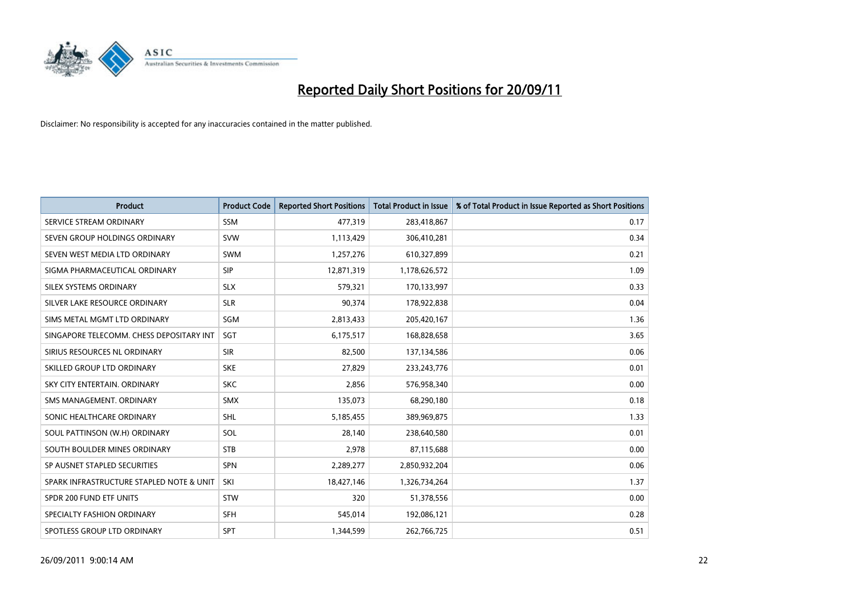

| <b>Product</b>                           | <b>Product Code</b> | <b>Reported Short Positions</b> | <b>Total Product in Issue</b> | % of Total Product in Issue Reported as Short Positions |
|------------------------------------------|---------------------|---------------------------------|-------------------------------|---------------------------------------------------------|
| SERVICE STREAM ORDINARY                  | <b>SSM</b>          | 477,319                         | 283,418,867                   | 0.17                                                    |
| SEVEN GROUP HOLDINGS ORDINARY            | <b>SVW</b>          | 1,113,429                       | 306,410,281                   | 0.34                                                    |
| SEVEN WEST MEDIA LTD ORDINARY            | <b>SWM</b>          | 1,257,276                       | 610,327,899                   | 0.21                                                    |
| SIGMA PHARMACEUTICAL ORDINARY            | <b>SIP</b>          | 12,871,319                      | 1,178,626,572                 | 1.09                                                    |
| SILEX SYSTEMS ORDINARY                   | <b>SLX</b>          | 579,321                         | 170,133,997                   | 0.33                                                    |
| SILVER LAKE RESOURCE ORDINARY            | <b>SLR</b>          | 90,374                          | 178,922,838                   | 0.04                                                    |
| SIMS METAL MGMT LTD ORDINARY             | SGM                 | 2,813,433                       | 205,420,167                   | 1.36                                                    |
| SINGAPORE TELECOMM. CHESS DEPOSITARY INT | <b>SGT</b>          | 6,175,517                       | 168,828,658                   | 3.65                                                    |
| SIRIUS RESOURCES NL ORDINARY             | <b>SIR</b>          | 82,500                          | 137,134,586                   | 0.06                                                    |
| SKILLED GROUP LTD ORDINARY               | <b>SKE</b>          | 27,829                          | 233, 243, 776                 | 0.01                                                    |
| SKY CITY ENTERTAIN. ORDINARY             | <b>SKC</b>          | 2,856                           | 576,958,340                   | 0.00                                                    |
| SMS MANAGEMENT, ORDINARY                 | <b>SMX</b>          | 135,073                         | 68,290,180                    | 0.18                                                    |
| SONIC HEALTHCARE ORDINARY                | <b>SHL</b>          | 5,185,455                       | 389,969,875                   | 1.33                                                    |
| SOUL PATTINSON (W.H) ORDINARY            | SOL                 | 28,140                          | 238,640,580                   | 0.01                                                    |
| SOUTH BOULDER MINES ORDINARY             | <b>STB</b>          | 2,978                           | 87,115,688                    | 0.00                                                    |
| SP AUSNET STAPLED SECURITIES             | <b>SPN</b>          | 2,289,277                       | 2,850,932,204                 | 0.06                                                    |
| SPARK INFRASTRUCTURE STAPLED NOTE & UNIT | SKI                 | 18,427,146                      | 1,326,734,264                 | 1.37                                                    |
| SPDR 200 FUND ETF UNITS                  | <b>STW</b>          | 320                             | 51,378,556                    | 0.00                                                    |
| SPECIALTY FASHION ORDINARY               | <b>SFH</b>          | 545,014                         | 192,086,121                   | 0.28                                                    |
| SPOTLESS GROUP LTD ORDINARY              | <b>SPT</b>          | 1,344,599                       | 262,766,725                   | 0.51                                                    |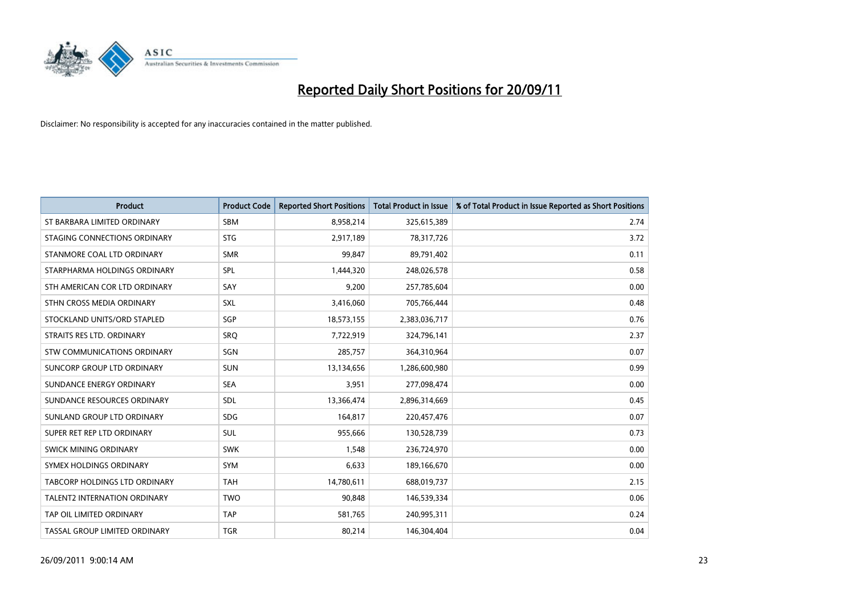

| <b>Product</b>                | <b>Product Code</b> | <b>Reported Short Positions</b> | <b>Total Product in Issue</b> | % of Total Product in Issue Reported as Short Positions |
|-------------------------------|---------------------|---------------------------------|-------------------------------|---------------------------------------------------------|
| ST BARBARA LIMITED ORDINARY   | <b>SBM</b>          | 8,958,214                       | 325,615,389                   | 2.74                                                    |
| STAGING CONNECTIONS ORDINARY  | <b>STG</b>          | 2,917,189                       | 78,317,726                    | 3.72                                                    |
| STANMORE COAL LTD ORDINARY    | <b>SMR</b>          | 99.847                          | 89,791,402                    | 0.11                                                    |
| STARPHARMA HOLDINGS ORDINARY  | <b>SPL</b>          | 1,444,320                       | 248,026,578                   | 0.58                                                    |
| STH AMERICAN COR LTD ORDINARY | SAY                 | 9,200                           | 257,785,604                   | 0.00                                                    |
| STHN CROSS MEDIA ORDINARY     | <b>SXL</b>          | 3,416,060                       | 705,766,444                   | 0.48                                                    |
| STOCKLAND UNITS/ORD STAPLED   | <b>SGP</b>          | 18,573,155                      | 2,383,036,717                 | 0.76                                                    |
| STRAITS RES LTD. ORDINARY     | SRO                 | 7,722,919                       | 324,796,141                   | 2.37                                                    |
| STW COMMUNICATIONS ORDINARY   | SGN                 | 285,757                         | 364,310,964                   | 0.07                                                    |
| SUNCORP GROUP LTD ORDINARY    | <b>SUN</b>          | 13,134,656                      | 1,286,600,980                 | 0.99                                                    |
| SUNDANCE ENERGY ORDINARY      | <b>SEA</b>          | 3,951                           | 277,098,474                   | 0.00                                                    |
| SUNDANCE RESOURCES ORDINARY   | <b>SDL</b>          | 13,366,474                      | 2,896,314,669                 | 0.45                                                    |
| SUNLAND GROUP LTD ORDINARY    | <b>SDG</b>          | 164,817                         | 220,457,476                   | 0.07                                                    |
| SUPER RET REP LTD ORDINARY    | SUL                 | 955,666                         | 130,528,739                   | 0.73                                                    |
| SWICK MINING ORDINARY         | <b>SWK</b>          | 1,548                           | 236,724,970                   | 0.00                                                    |
| SYMEX HOLDINGS ORDINARY       | <b>SYM</b>          | 6,633                           | 189,166,670                   | 0.00                                                    |
| TABCORP HOLDINGS LTD ORDINARY | <b>TAH</b>          | 14,780,611                      | 688,019,737                   | 2.15                                                    |
| TALENT2 INTERNATION ORDINARY  | <b>TWO</b>          | 90,848                          | 146,539,334                   | 0.06                                                    |
| TAP OIL LIMITED ORDINARY      | <b>TAP</b>          | 581,765                         | 240,995,311                   | 0.24                                                    |
| TASSAL GROUP LIMITED ORDINARY | <b>TGR</b>          | 80,214                          | 146,304,404                   | 0.04                                                    |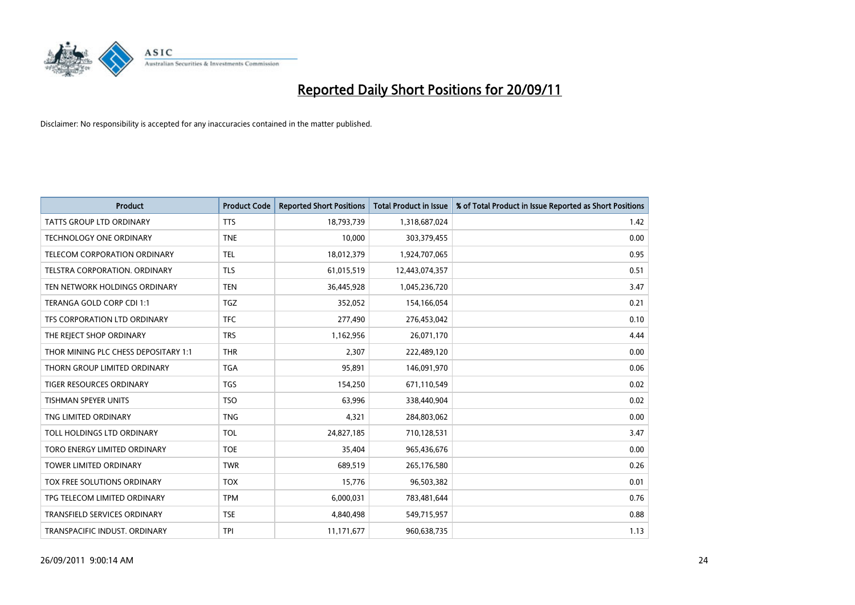

| <b>Product</b>                       | <b>Product Code</b> | <b>Reported Short Positions</b> | <b>Total Product in Issue</b> | % of Total Product in Issue Reported as Short Positions |
|--------------------------------------|---------------------|---------------------------------|-------------------------------|---------------------------------------------------------|
| <b>TATTS GROUP LTD ORDINARY</b>      | <b>TTS</b>          | 18,793,739                      | 1,318,687,024                 | 1.42                                                    |
| TECHNOLOGY ONE ORDINARY              | <b>TNE</b>          | 10,000                          | 303,379,455                   | 0.00                                                    |
| TELECOM CORPORATION ORDINARY         | <b>TEL</b>          | 18,012,379                      | 1,924,707,065                 | 0.95                                                    |
| <b>TELSTRA CORPORATION, ORDINARY</b> | <b>TLS</b>          | 61,015,519                      | 12,443,074,357                | 0.51                                                    |
| TEN NETWORK HOLDINGS ORDINARY        | <b>TEN</b>          | 36,445,928                      | 1,045,236,720                 | 3.47                                                    |
| TERANGA GOLD CORP CDI 1:1            | <b>TGZ</b>          | 352,052                         | 154,166,054                   | 0.21                                                    |
| TFS CORPORATION LTD ORDINARY         | <b>TFC</b>          | 277,490                         | 276,453,042                   | 0.10                                                    |
| THE REJECT SHOP ORDINARY             | <b>TRS</b>          | 1,162,956                       | 26,071,170                    | 4.44                                                    |
| THOR MINING PLC CHESS DEPOSITARY 1:1 | <b>THR</b>          | 2,307                           | 222,489,120                   | 0.00                                                    |
| THORN GROUP LIMITED ORDINARY         | <b>TGA</b>          | 95,891                          | 146,091,970                   | 0.06                                                    |
| TIGER RESOURCES ORDINARY             | <b>TGS</b>          | 154,250                         | 671,110,549                   | 0.02                                                    |
| TISHMAN SPEYER UNITS                 | <b>TSO</b>          | 63,996                          | 338,440,904                   | 0.02                                                    |
| TNG LIMITED ORDINARY                 | <b>TNG</b>          | 4,321                           | 284,803,062                   | 0.00                                                    |
| TOLL HOLDINGS LTD ORDINARY           | <b>TOL</b>          | 24,827,185                      | 710,128,531                   | 3.47                                                    |
| TORO ENERGY LIMITED ORDINARY         | <b>TOE</b>          | 35,404                          | 965,436,676                   | 0.00                                                    |
| TOWER LIMITED ORDINARY               | <b>TWR</b>          | 689,519                         | 265,176,580                   | 0.26                                                    |
| TOX FREE SOLUTIONS ORDINARY          | <b>TOX</b>          | 15,776                          | 96,503,382                    | 0.01                                                    |
| TPG TELECOM LIMITED ORDINARY         | <b>TPM</b>          | 6,000,031                       | 783,481,644                   | 0.76                                                    |
| TRANSFIELD SERVICES ORDINARY         | <b>TSE</b>          | 4,840,498                       | 549,715,957                   | 0.88                                                    |
| TRANSPACIFIC INDUST. ORDINARY        | <b>TPI</b>          | 11,171,677                      | 960,638,735                   | 1.13                                                    |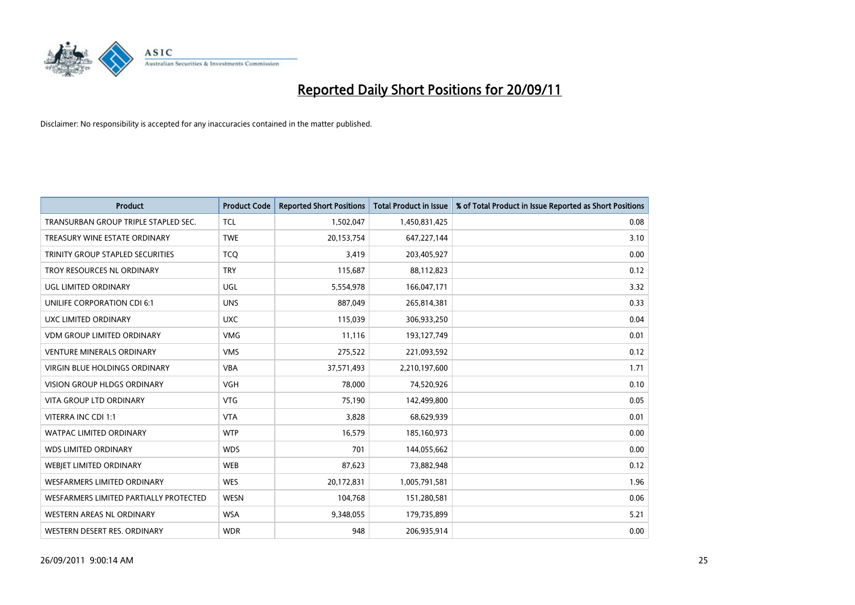

| <b>Product</b>                         | <b>Product Code</b> | <b>Reported Short Positions</b> | <b>Total Product in Issue</b> | % of Total Product in Issue Reported as Short Positions |
|----------------------------------------|---------------------|---------------------------------|-------------------------------|---------------------------------------------------------|
| TRANSURBAN GROUP TRIPLE STAPLED SEC.   | <b>TCL</b>          | 1,502,047                       | 1,450,831,425                 | 0.08                                                    |
| TREASURY WINE ESTATE ORDINARY          | <b>TWE</b>          | 20,153,754                      | 647,227,144                   | 3.10                                                    |
| TRINITY GROUP STAPLED SECURITIES       | <b>TCQ</b>          | 3,419                           | 203,405,927                   | 0.00                                                    |
| TROY RESOURCES NL ORDINARY             | <b>TRY</b>          | 115,687                         | 88,112,823                    | 0.12                                                    |
| <b>UGL LIMITED ORDINARY</b>            | UGL                 | 5,554,978                       | 166,047,171                   | 3.32                                                    |
| UNILIFE CORPORATION CDI 6:1            | <b>UNS</b>          | 887,049                         | 265,814,381                   | 0.33                                                    |
| UXC LIMITED ORDINARY                   | <b>UXC</b>          | 115,039                         | 306,933,250                   | 0.04                                                    |
| <b>VDM GROUP LIMITED ORDINARY</b>      | <b>VMG</b>          | 11,116                          | 193,127,749                   | 0.01                                                    |
| <b>VENTURE MINERALS ORDINARY</b>       | <b>VMS</b>          | 275,522                         | 221,093,592                   | 0.12                                                    |
| <b>VIRGIN BLUE HOLDINGS ORDINARY</b>   | <b>VBA</b>          | 37,571,493                      | 2,210,197,600                 | 1.71                                                    |
| <b>VISION GROUP HLDGS ORDINARY</b>     | <b>VGH</b>          | 78,000                          | 74,520,926                    | 0.10                                                    |
| <b>VITA GROUP LTD ORDINARY</b>         | <b>VTG</b>          | 75,190                          | 142,499,800                   | 0.05                                                    |
| VITERRA INC CDI 1:1                    | <b>VTA</b>          | 3,828                           | 68,629,939                    | 0.01                                                    |
| <b>WATPAC LIMITED ORDINARY</b>         | <b>WTP</b>          | 16,579                          | 185,160,973                   | 0.00                                                    |
| <b>WDS LIMITED ORDINARY</b>            | <b>WDS</b>          | 701                             | 144,055,662                   | 0.00                                                    |
| WEBJET LIMITED ORDINARY                | <b>WEB</b>          | 87,623                          | 73,882,948                    | 0.12                                                    |
| <b>WESFARMERS LIMITED ORDINARY</b>     | <b>WES</b>          | 20,172,831                      | 1,005,791,581                 | 1.96                                                    |
| WESFARMERS LIMITED PARTIALLY PROTECTED | <b>WESN</b>         | 104,768                         | 151,280,581                   | 0.06                                                    |
| WESTERN AREAS NL ORDINARY              | <b>WSA</b>          | 9,348,055                       | 179,735,899                   | 5.21                                                    |
| WESTERN DESERT RES. ORDINARY           | <b>WDR</b>          | 948                             | 206.935.914                   | 0.00                                                    |